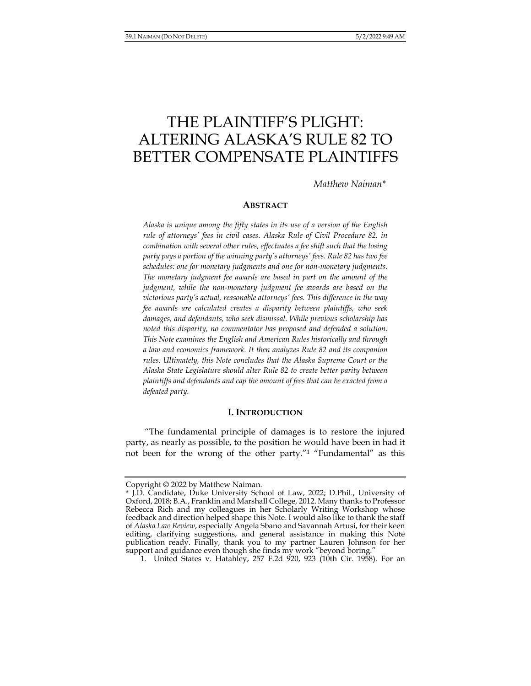# THE PLAINTIFF'S PLIGHT: ALTERING ALASKA'S RULE 82 TO BETTER COMPENSATE PLAINTIFFS

*Matthew Naiman\** 

### **ABSTRACT**

*Alaska is unique among the fifty states in its use of a version of the English rule of attorneys' fees in civil cases. Alaska Rule of Civil Procedure 82, in combination with several other rules, effectuates a fee shift such that the losing party pays a portion of the winning party's attorneys' fees. Rule 82 has two fee schedules: one for monetary judgments and one for non-monetary judgments. The monetary judgment fee awards are based in part on the amount of the judgment, while the non-monetary judgment fee awards are based on the victorious party's actual, reasonable attorneys' fees. This difference in the way fee awards are calculated creates a disparity between plaintiffs, who seek damages, and defendants, who seek dismissal. While previous scholarship has noted this disparity, no commentator has proposed and defended a solution. This Note examines the English and American Rules historically and through a law and economics framework. It then analyzes Rule 82 and its companion rules. Ultimately, this Note concludes that the Alaska Supreme Court or the Alaska State Legislature should alter Rule 82 to create better parity between plaintiffs and defendants and cap the amount of fees that can be exacted from a defeated party.* 

#### **I. INTRODUCTION**

"The fundamental principle of damages is to restore the injured party, as nearly as possible, to the position he would have been in had it not been for the wrong of the other party."1 "Fundamental" as this

Copyright © 2022 by Matthew Naiman.

<sup>\*</sup> J.D. Candidate, Duke University School of Law, 2022; D.Phil., University of Oxford, 2018; B.A., Franklin and Marshall College, 2012. Many thanks to Professor Rebecca Rich and my colleagues in her Scholarly Writing Workshop whose feedback and direction helped shape this Note. I would also like to thank the staff of *Alaska Law Review*, especially Angela Sbano and Savannah Artusi, for their keen editing, clarifying suggestions, and general assistance in making this Note publication ready. Finally, thank you to my partner Lauren Johnson for her support and guidance even though she finds my work "beyond boring."

<sup>1.</sup> United States v. Hatahley, 257 F.2d 920, 923 (10th Cir. 1958). For an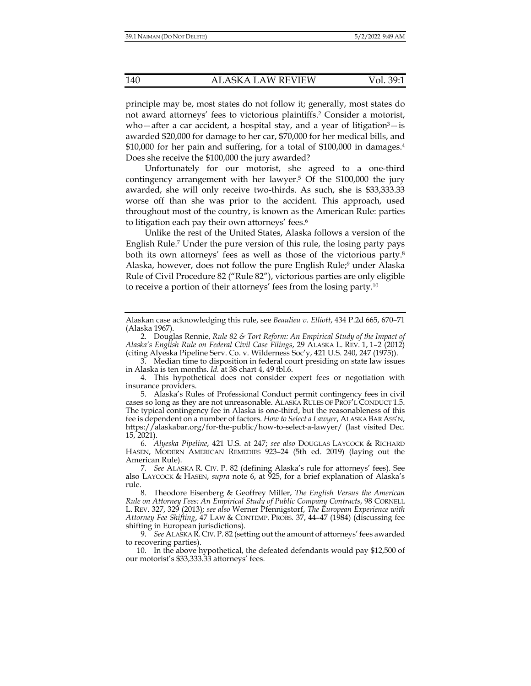principle may be, most states do not follow it; generally, most states do not award attorneys' fees to victorious plaintiffs.2 Consider a motorist, who—after a car accident, a hospital stay, and a year of litigation $3$ —is awarded \$20,000 for damage to her car, \$70,000 for her medical bills, and \$10,000 for her pain and suffering, for a total of \$100,000 in damages.4 Does she receive the \$100,000 the jury awarded?

Unfortunately for our motorist, she agreed to a one-third contingency arrangement with her lawyer.5 Of the \$100,000 the jury awarded, she will only receive two-thirds. As such, she is \$33,333.33 worse off than she was prior to the accident. This approach, used throughout most of the country, is known as the American Rule: parties to litigation each pay their own attorneys' fees.6

Unlike the rest of the United States, Alaska follows a version of the English Rule.7 Under the pure version of this rule, the losing party pays both its own attorneys' fees as well as those of the victorious party.8 Alaska, however, does not follow the pure English Rule;<sup>9</sup> under Alaska Rule of Civil Procedure 82 ("Rule 82"), victorious parties are only eligible to receive a portion of their attorneys' fees from the losing party.10

 3. Median time to disposition in federal court presiding on state law issues in Alaska is ten months. *Id.* at 38 chart 4, 49 tbl.6.

Alaskan case acknowledging this rule, see *Beaulieu v. Elliott*, 434 P.2d 665, 670–71 (Alaska 1967).

 <sup>2.</sup> Douglas Rennie, *Rule 82 & Tort Reform: An Empirical Study of the Impact of Alaska's English Rule on Federal Civil Case Filings*, 29 ALASKA L. REV. 1, 1–2 (2012) (citing Alyeska Pipeline Serv. Co. v. Wilderness Soc'y, 421 U.S. 240, 247 (1975)).

 <sup>4.</sup> This hypothetical does not consider expert fees or negotiation with insurance providers.

 <sup>5.</sup> Alaska's Rules of Professional Conduct permit contingency fees in civil cases so long as they are not unreasonable. ALASKA RULES OF PROF'L CONDUCT 1.5. The typical contingency fee in Alaska is one-third, but the reasonableness of this fee is dependent on a number of factors. *How to Select a Lawyer*, ALASKA BAR ASS'N, https://alaskabar.org/for-the-public/how-to-select-a-lawyer/ (last visited Dec. 15, 2021).

 <sup>6.</sup> *Alyeska Pipeline*, 421 U.S. at 247; *see also* DOUGLAS LAYCOCK & RICHARD HASEN, MODERN AMERICAN REMEDIES 923–24 (5th ed. 2019) (laying out the American Rule).

 <sup>7.</sup> *See* ALASKA R. CIV. P. 82 (defining Alaska's rule for attorneys' fees). See also LAYCOCK & HASEN, *supra* note 6, at 925, for a brief explanation of Alaska's rule.

 <sup>8.</sup> Theodore Eisenberg & Geoffrey Miller, *The English Versus the American Rule on Attorney Fees: An Empirical Study of Public Company Contracts*, 98 CORNELL L. REV. 327, 329 (2013); *see also* Werner Pfennigstorf, *The European Experience with Attorney Fee Shifting*, 47 LAW & CONTEMP. PROBS. 37, 44–47 (1984) (discussing fee shifting in European jurisdictions).

 <sup>9.</sup> *See* ALASKA R. CIV.P. 82 (setting out the amount of attorneys' fees awarded to recovering parties).

 <sup>10.</sup> In the above hypothetical, the defeated defendants would pay \$12,500 of our motorist's \$33,333.33 attorneys' fees.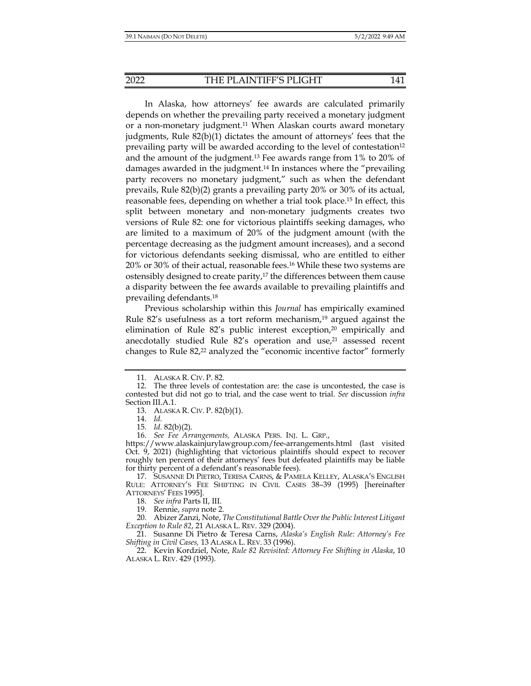In Alaska, how attorneys' fee awards are calculated primarily depends on whether the prevailing party received a monetary judgment or a non-monetary judgment.11 When Alaskan courts award monetary judgments, Rule 82(b)(1) dictates the amount of attorneys' fees that the prevailing party will be awarded according to the level of contestation<sup>12</sup> and the amount of the judgment.13 Fee awards range from 1% to 20% of damages awarded in the judgment.14 In instances where the "prevailing party recovers no monetary judgment," such as when the defendant prevails, Rule 82(b)(2) grants a prevailing party 20% or 30% of its actual, reasonable fees, depending on whether a trial took place.15 In effect, this split between monetary and non-monetary judgments creates two versions of Rule 82: one for victorious plaintiffs seeking damages, who are limited to a maximum of 20% of the judgment amount (with the percentage decreasing as the judgment amount increases), and a second for victorious defendants seeking dismissal, who are entitled to either 20% or 30% of their actual, reasonable fees.16 While these two systems are ostensibly designed to create parity,<sup>17</sup> the differences between them cause a disparity between the fee awards available to prevailing plaintiffs and prevailing defendants.18

Previous scholarship within this *Journal* has empirically examined Rule 82's usefulness as a tort reform mechanism, $19$  argued against the elimination of Rule 82's public interest exception,<sup>20</sup> empirically and anecdotally studied Rule  $82's$  operation and use, $21$  assessed recent changes to Rule 82,22 analyzed the "economic incentive factor" formerly

15. *Id.* 82(b)(2).

 <sup>11.</sup> ALASKA R. CIV. P. 82.

 <sup>12.</sup> The three levels of contestation are: the case is uncontested, the case is contested but did not go to trial, and the case went to trial. *See* discussion *infra* Section III.A.1.

 <sup>13.</sup> ALASKA R. CIV. P. 82(b)(1).

 <sup>14.</sup> *Id.*

 <sup>16.</sup> *See Fee Arrangements,* ALASKA PERS. INJ. L. GRP.,

https://www.alaskainjurylawgroup.com/fee-arrangements.html (last visited Oct. 9, 2021) (highlighting that victorious plaintiffs should expect to recover roughly ten percent of their attorneys' fees but defeated plaintiffs may be liable for thirty percent of a defendant's reasonable fees).

 <sup>17.</sup> SUSANNE DI PIETRO, TERESA CARNS, & PAMELA KELLEY, ALASKA'S ENGLISH RULE: ATTORNEY'S FEE SHIFTING IN CIVIL CASES 38–39 (1995) [hereinafter ATTORNEYS' FEES 1995].

 <sup>18.</sup> *See infra* Parts II, III.

 <sup>19.</sup> Rennie, *supra* note 2.

 <sup>20.</sup> Abizer Zanzi, Note, *The Constitutional Battle Over the Public Interest Litigant Exception to Rule 82*, 21 ALASKA L. REV. 329 (2004).

 <sup>21.</sup> Susanne Di Pietro & Teresa Carns, *Alaska's English Rule: Attorney's Fee Shifting in Civil Cases,* 13 ALASKA L. REV. 33 (1996).

 <sup>22.</sup> Kevin Kordziel, Note, *Rule 82 Revisited: Attorney Fee Shifting in Alaska*, 10 ALASKA L. REV. 429 (1993).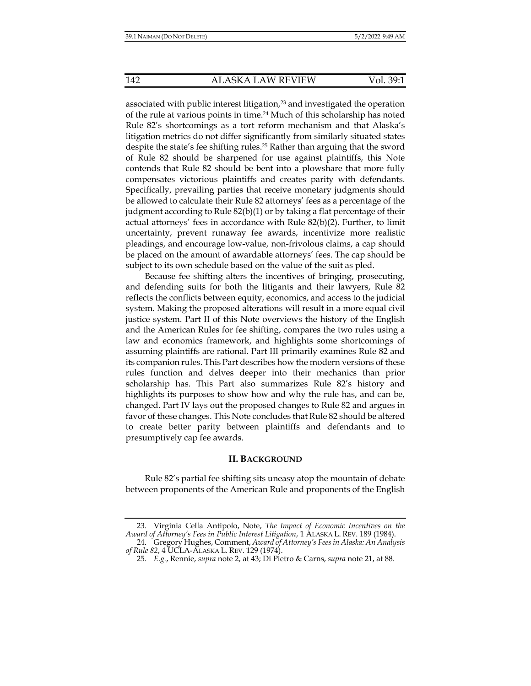associated with public interest litigation,<sup>23</sup> and investigated the operation of the rule at various points in time.24 Much of this scholarship has noted Rule 82's shortcomings as a tort reform mechanism and that Alaska's litigation metrics do not differ significantly from similarly situated states despite the state's fee shifting rules.25 Rather than arguing that the sword of Rule 82 should be sharpened for use against plaintiffs, this Note contends that Rule 82 should be bent into a plowshare that more fully compensates victorious plaintiffs and creates parity with defendants. Specifically, prevailing parties that receive monetary judgments should be allowed to calculate their Rule 82 attorneys' fees as a percentage of the judgment according to Rule 82(b)(1) or by taking a flat percentage of their actual attorneys' fees in accordance with Rule 82(b)(2). Further, to limit uncertainty, prevent runaway fee awards, incentivize more realistic pleadings, and encourage low-value, non-frivolous claims, a cap should be placed on the amount of awardable attorneys' fees. The cap should be subject to its own schedule based on the value of the suit as pled.

Because fee shifting alters the incentives of bringing, prosecuting, and defending suits for both the litigants and their lawyers, Rule 82 reflects the conflicts between equity, economics, and access to the judicial system. Making the proposed alterations will result in a more equal civil justice system. Part II of this Note overviews the history of the English and the American Rules for fee shifting, compares the two rules using a law and economics framework, and highlights some shortcomings of assuming plaintiffs are rational. Part III primarily examines Rule 82 and its companion rules. This Part describes how the modern versions of these rules function and delves deeper into their mechanics than prior scholarship has. This Part also summarizes Rule 82's history and highlights its purposes to show how and why the rule has, and can be, changed. Part IV lays out the proposed changes to Rule 82 and argues in favor of these changes. This Note concludes that Rule 82 should be altered to create better parity between plaintiffs and defendants and to presumptively cap fee awards.

#### **II. BACKGROUND**

Rule 82's partial fee shifting sits uneasy atop the mountain of debate between proponents of the American Rule and proponents of the English

 <sup>23.</sup> Virginia Cella Antipolo, Note, *The Impact of Economic Incentives on the Award of Attorney's Fees in Public Interest Litigation*, 1 ALASKA L. REV. 189 (1984).

 <sup>24.</sup> Gregory Hughes, Comment, *Award of Attorney's Fees in Alaska: An Analysis of Rule 82*, 4 UCLA-ALASKA L. REV. 129 (1974).

 <sup>25.</sup> *E.g.*, Rennie, *supra* note 2, at 43; Di Pietro & Carns, *supra* note 21, at 88.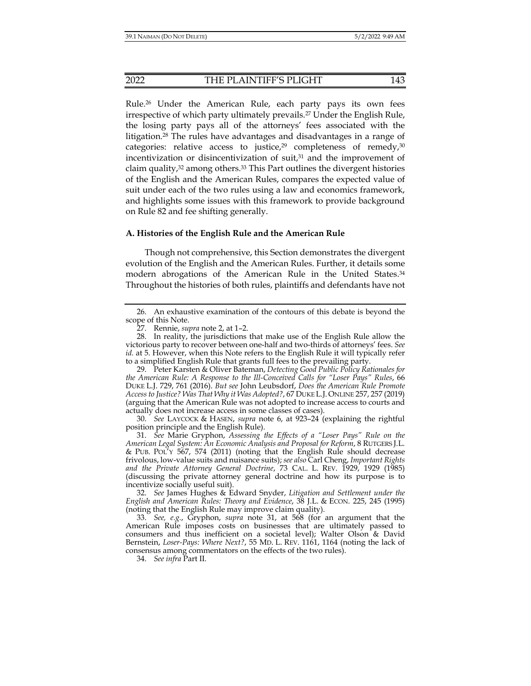Rule.26 Under the American Rule, each party pays its own fees irrespective of which party ultimately prevails.27 Under the English Rule, the losing party pays all of the attorneys' fees associated with the litigation.28 The rules have advantages and disadvantages in a range of categories: relative access to justice,<sup>29</sup> completeness of remedy,<sup>30</sup> incentivization or disincentivization of suit,<sup>31</sup> and the improvement of claim quality,32 among others.33 This Part outlines the divergent histories of the English and the American Rules, compares the expected value of suit under each of the two rules using a law and economics framework, and highlights some issues with this framework to provide background on Rule 82 and fee shifting generally.

#### **A. Histories of the English Rule and the American Rule**

Though not comprehensive, this Section demonstrates the divergent evolution of the English and the American Rules. Further, it details some modern abrogations of the American Rule in the United States.<sup>34</sup> Throughout the histories of both rules, plaintiffs and defendants have not

 29. Peter Karsten & Oliver Bateman, *Detecting Good Public Policy Rationales for the American Rule: A Response to the Ill-Conceived Calls for "Loser Pays" Rules*, 66 DUKE L.J. 729, 761 (2016). *But see* John Leubsdorf, *Does the American Rule Promote Access to Justice? Was That Why it Was Adopted?*, 67 DUKE L.J.ONLINE 257, 257 (2019) (arguing that the American Rule was not adopted to increase access to courts and actually does not increase access in some classes of cases).

 30. *See* LAYCOCK & HASEN, *supra* note 6, at 923–24 (explaining the rightful position principle and the English Rule).

 31. *See* Marie Gryphon, *Assessing the Effects of a "Loser Pays" Rule on the American Legal System: An Economic Analysis and Proposal for Reform*, 8 RUTGERS J.L. & PUB. POL'Y 567, 574 (2011) (noting that the English Rule should decrease frivolous, low-value suits and nuisance suits); *see also* Carl Cheng, *Important Rights and the Private Attorney General Doctrine*, 73 CAL. L. REV. 1929, 1929 (1985) (discussing the private attorney general doctrine and how its purpose is to incentivize socially useful suit).

 32. *See* James Hughes & Edward Snyder, *Litigation and Settlement under the English and American Rules: Theory and Evidence*, 38 J.L. & ECON. 225, 245 (1995) (noting that the English Rule may improve claim quality).

 33. *See, e.g.*, Gryphon, *supra* note 31, at 568 (for an argument that the American Rule imposes costs on businesses that are ultimately passed to consumers and thus inefficient on a societal level); Walter Olson & David Bernstein, *Loser-Pays: Where Next?*, 55 MD. L. REV. 1161, 1164 (noting the lack of consensus among commentators on the effects of the two rules).

34. *See infra* Part II.

 <sup>26.</sup> An exhaustive examination of the contours of this debate is beyond the scope of this Note.

 <sup>27.</sup> Rennie, *supra* note 2, at 1–2.

 <sup>28.</sup> In reality, the jurisdictions that make use of the English Rule allow the victorious party to recover between one-half and two-thirds of attorneys' fees. *See id.* at 5. However, when this Note refers to the English Rule it will typically refer to a simplified English Rule that grants full fees to the prevailing party.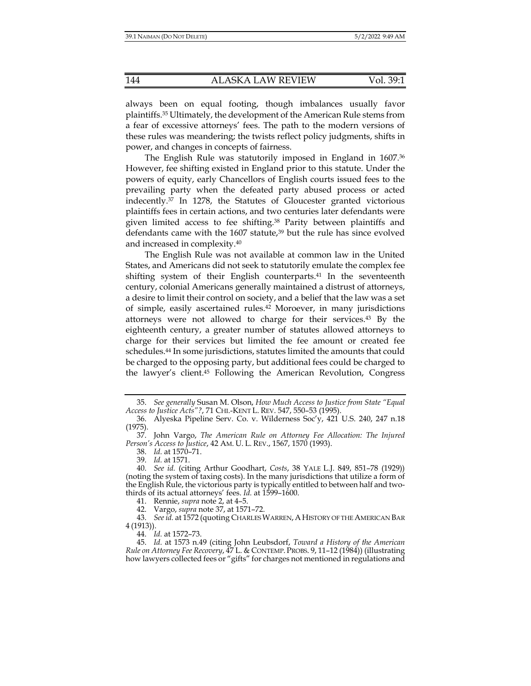always been on equal footing, though imbalances usually favor plaintiffs.35 Ultimately, the development of the American Rule stems from a fear of excessive attorneys' fees. The path to the modern versions of these rules was meandering; the twists reflect policy judgments, shifts in power, and changes in concepts of fairness.

The English Rule was statutorily imposed in England in 1607.<sup>36</sup> However, fee shifting existed in England prior to this statute. Under the powers of equity, early Chancellors of English courts issued fees to the prevailing party when the defeated party abused process or acted indecently.37 In 1278, the Statutes of Gloucester granted victorious plaintiffs fees in certain actions, and two centuries later defendants were given limited access to fee shifting.38 Parity between plaintiffs and defendants came with the 1607 statute,<sup>39</sup> but the rule has since evolved and increased in complexity.40

The English Rule was not available at common law in the United States, and Americans did not seek to statutorily emulate the complex fee shifting system of their English counterparts.<sup>41</sup> In the seventeenth century, colonial Americans generally maintained a distrust of attorneys, a desire to limit their control on society, and a belief that the law was a set of simple, easily ascertained rules.42 Moroever, in many jurisdictions attorneys were not allowed to charge for their services.43 By the eighteenth century, a greater number of statutes allowed attorneys to charge for their services but limited the fee amount or created fee schedules.44 In some jurisdictions, statutes limited the amounts that could be charged to the opposing party, but additional fees could be charged to the lawyer's client.45 Following the American Revolution, Congress

42. Vargo, *supra* note 37, at 1571–72.

43. *See id.* at 1572 (quoting CHARLES WARREN, A HISTORY OF THE AMERICAN BAR 4 (1913)).

44. *Id.* at 1572–73.

 <sup>35.</sup> *See generally* Susan M. Olson, *How Much Access to Justice from State "Equal Access to Justice Acts"?*, 71 CHI.-KENT L. REV. 547, 550–53 (1995).

 <sup>36.</sup> Alyeska Pipeline Serv. Co. v. Wilderness Soc'y, 421 U.S. 240, 247 n.18 (1975).

 <sup>37.</sup> John Vargo, *The American Rule on Attorney Fee Allocation: The Injured Person's Access to Justice*, 42 AM. U. L. REV., 1567, 1570 (1993).

 <sup>38.</sup> *Id.* at 1570–71.

 <sup>39.</sup> *Id.* at 1571.

 <sup>40.</sup> *See id.* (citing Arthur Goodhart, *Costs*, 38 YALE L.J. 849, 851–78 (1929)) (noting the system of taxing costs). In the many jurisdictions that utilize a form of the English Rule, the victorious party is typically entitled to between half and twothirds of its actual attorneys' fees. *Id.* at 1599–1600.

 <sup>41.</sup> Rennie, *supra* note 2, at 4–5.

 <sup>45.</sup> *Id.* at 1573 n.49 (citing John Leubsdorf, *Toward a History of the American Rule on Attorney Fee Recovery*, 47 L. & CONTEMP. PROBS. 9, 11–12 (1984)) (illustrating how lawyers collected fees or "gifts" for charges not mentioned in regulations and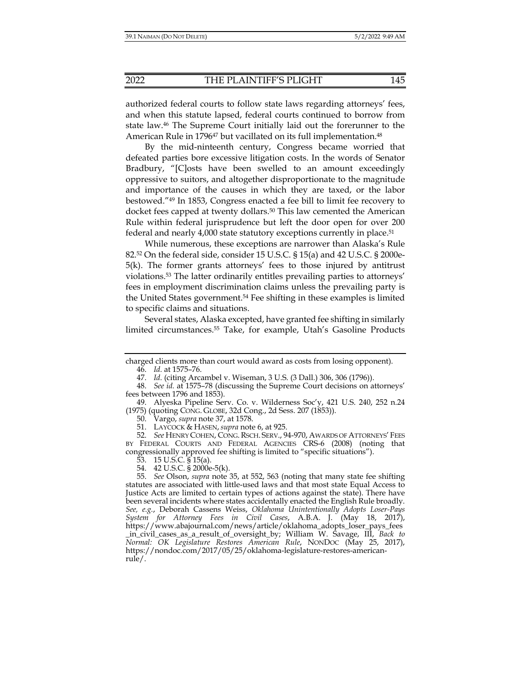authorized federal courts to follow state laws regarding attorneys' fees, and when this statute lapsed, federal courts continued to borrow from state law.46 The Supreme Court initially laid out the forerunner to the American Rule in 1796<sup>47</sup> but vacillated on its full implementation.<sup>48</sup>

By the mid-ninteenth century, Congress became worried that defeated parties bore excessive litigation costs. In the words of Senator Bradbury, "[C]osts have been swelled to an amount exceedingly oppressive to suitors, and altogether disproportionate to the magnitude and importance of the causes in which they are taxed, or the labor bestowed."49 In 1853, Congress enacted a fee bill to limit fee recovery to docket fees capped at twenty dollars.50 This law cemented the American Rule within federal jurisprudence but left the door open for over 200 federal and nearly 4,000 state statutory exceptions currently in place.51

While numerous, these exceptions are narrower than Alaska's Rule 82.52 On the federal side, consider 15 U.S.C. § 15(a) and 42 U.S.C. § 2000e-5(k). The former grants attorneys' fees to those injured by antitrust violations.53 The latter ordinarily entitles prevailing parties to attorneys' fees in employment discrimination claims unless the prevailing party is the United States government.54 Fee shifting in these examples is limited to specific claims and situations.

Several states, Alaska excepted, have granted fee shifting in similarly limited circumstances.55 Take, for example, Utah's Gasoline Products

charged clients more than court would award as costs from losing opponent). 46. *Id.* at 1575–76.

 <sup>47.</sup> *Id.* (citing Arcambel v. Wiseman, 3 U.S. (3 Dall.) 306, 306 (1796)).

 <sup>48.</sup> *See id.* at 1575–78 (discussing the Supreme Court decisions on attorneys' fees between 1796 and 1853).

 <sup>49.</sup> Alyeska Pipeline Serv. Co. v. Wilderness Soc'y, 421 U.S. 240, 252 n.24 (1975) (quoting CONG. GLOBE, 32d Cong., 2d Sess. 207 (1853)).

 <sup>50.</sup> Vargo, *supra* note 37, at 1578.

 <sup>51.</sup> LAYCOCK & HASEN, *supra* note 6, at 925.

 <sup>52.</sup> *See* HENRY COHEN, CONG.RSCH. SERV., 94-970, AWARDS OF ATTORNEYS' FEES BY FEDERAL COURTS AND FEDERAL AGENCIES CRS-6 (2008) (noting that congressionally approved fee shifting is limited to "specific situations").

<sup>53. 15</sup> U.S.C.  $\S$  15(a).

 <sup>54. 42</sup> U.S.C. § 2000e-5(k).

 <sup>55.</sup> *See* Olson, *supra* note 35, at 552, 563 (noting that many state fee shifting statutes are associated with little-used laws and that most state Equal Access to Justice Acts are limited to certain types of actions against the state). There have been several incidents where states accidentally enacted the English Rule broadly. *See, e.g.*, Deborah Cassens Weiss, *Oklahoma Unintentionally Adopts Loser-Pays System for Attorney Fees in Civil Cases*, A.B.A. J. (May 18, 2017), https://www.abajournal.com/news/article/oklahoma\_adopts\_loser\_pays\_fees \_in\_civil\_cases\_as\_a\_result\_of\_oversight\_by; William W. Savage, III, *Back to Normal: OK Legislature Restores American Rule*, NONDOC (May 25, 2017), https://nondoc.com/2017/05/25/oklahoma-legislature-restores-americanrule/.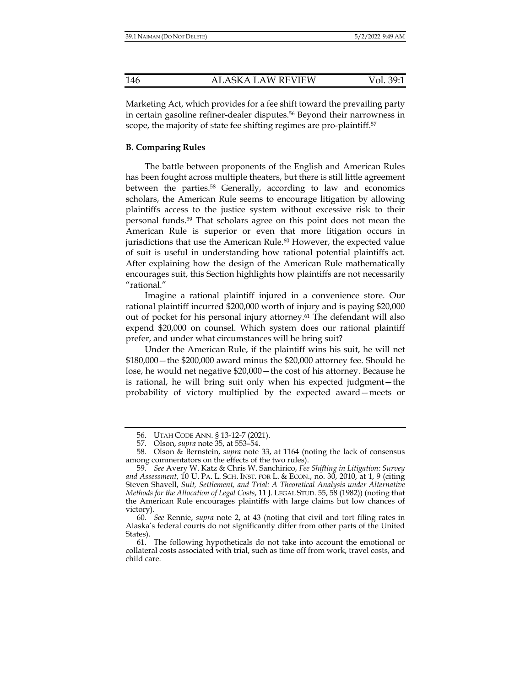Marketing Act, which provides for a fee shift toward the prevailing party in certain gasoline refiner-dealer disputes.56 Beyond their narrowness in scope, the majority of state fee shifting regimes are pro-plaintiff.<sup>57</sup>

### **B. Comparing Rules**

The battle between proponents of the English and American Rules has been fought across multiple theaters, but there is still little agreement between the parties.<sup>58</sup> Generally, according to law and economics scholars, the American Rule seems to encourage litigation by allowing plaintiffs access to the justice system without excessive risk to their personal funds.59 That scholars agree on this point does not mean the American Rule is superior or even that more litigation occurs in jurisdictions that use the American Rule.<sup>60</sup> However, the expected value of suit is useful in understanding how rational potential plaintiffs act. After explaining how the design of the American Rule mathematically encourages suit, this Section highlights how plaintiffs are not necessarily "rational."

Imagine a rational plaintiff injured in a convenience store. Our rational plaintiff incurred \$200,000 worth of injury and is paying \$20,000 out of pocket for his personal injury attorney.<sup>61</sup> The defendant will also expend \$20,000 on counsel. Which system does our rational plaintiff prefer, and under what circumstances will he bring suit?

Under the American Rule, if the plaintiff wins his suit, he will net \$180,000—the \$200,000 award minus the \$20,000 attorney fee. Should he lose, he would net negative \$20,000—the cost of his attorney. Because he is rational, he will bring suit only when his expected judgment—the probability of victory multiplied by the expected award—meets or

 <sup>56.</sup> UTAH CODE ANN. § 13-12-7 (2021).

 <sup>57.</sup> Olson, *supra* note 35, at 553–54.

 <sup>58.</sup> Olson & Bernstein, *supra* note 33, at 1164 (noting the lack of consensus among commentators on the effects of the two rules).

 <sup>59.</sup> *See* Avery W. Katz & Chris W. Sanchirico, *Fee Shifting in Litigation: Survey and Assessment*, 10 U. PA. L. SCH. INST. FOR L. & ECON., no. 30, 2010, at 1, 9 (citing Steven Shavell, *Suit, Settlement, and Trial: A Theoretical Analysis under Alternative Methods for the Allocation of Legal Costs*, 11 J. LEGAL STUD. 55, 58 (1982)) (noting that the American Rule encourages plaintiffs with large claims but low chances of victory).

 <sup>60.</sup> *See* Rennie, *supra* note 2, at 43 (noting that civil and tort filing rates in Alaska's federal courts do not significantly differ from other parts of the United States).

 <sup>61.</sup> The following hypotheticals do not take into account the emotional or collateral costs associated with trial, such as time off from work, travel costs, and child care.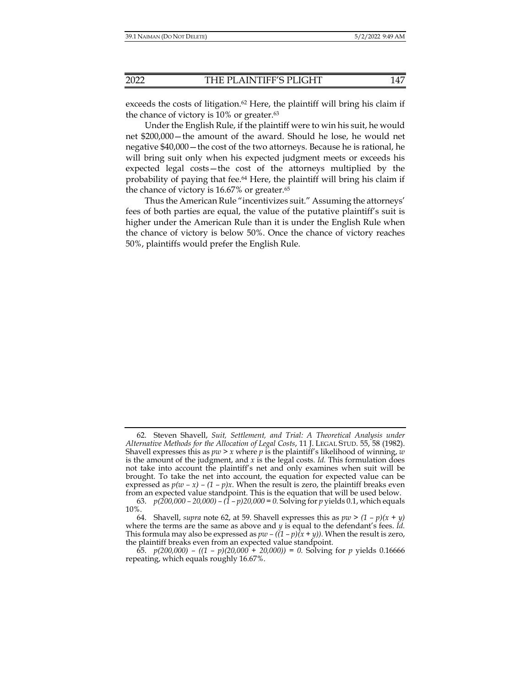exceeds the costs of litigation.<sup>62</sup> Here, the plaintiff will bring his claim if the chance of victory is 10% or greater. $63$ 

Under the English Rule, if the plaintiff were to win his suit, he would net \$200,000—the amount of the award. Should he lose, he would net negative \$40,000—the cost of the two attorneys. Because he is rational, he will bring suit only when his expected judgment meets or exceeds his expected legal costs—the cost of the attorneys multiplied by the probability of paying that fee.64 Here, the plaintiff will bring his claim if the chance of victory is 16.67% or greater.<sup>65</sup>

Thus the American Rule "incentivizes suit." Assuming the attorneys' fees of both parties are equal, the value of the putative plaintiff's suit is higher under the American Rule than it is under the English Rule when the chance of victory is below 50%. Once the chance of victory reaches 50%, plaintiffs would prefer the English Rule.

 <sup>62.</sup> Steven Shavell, *Suit, Settlement, and Trial: A Theoretical Analysis under Alternative Methods for the Allocation of Legal Costs*, 11 J. LEGAL STUD. 55, 58 (1982). Shavell expresses this as *pw > x* where *p* is the plaintiff's likelihood of winning, *w*  is the amount of the judgment, and *x* is the legal costs. *Id.* This formulation does not take into account the plaintiff's net and only examines when suit will be brought. To take the net into account, the equation for expected value can be expressed as  $p(w - x) - (1 - p)x$ . When the result is zero, the plaintiff breaks even from an expected value standpoint. This is the equation that will be used below.

 <sup>63.</sup> *p(200,000 – 20,000) – (1 – p)20,000 = 0.* Solving for *p* yields 0.1, which equals 10%.

<sup>64.</sup> Shavell, *supra* note 62, at 59. Shavell expresses this as  $pw > (1 - p)(x + y)$ where the terms are the same as above and *y* is equal to the defendant's fees. *Id.*  This formula may also be expressed as  $pw - ((1 - p)(x + y))$ . When the result is zero, the plaintiff breaks even from an expected value standpoint.

 <sup>65.</sup> *p(200,000) – ((1 – p)(20,000 + 20,000)) = 0.* Solving for *p* yields 0.16666 repeating, which equals roughly 16.67%.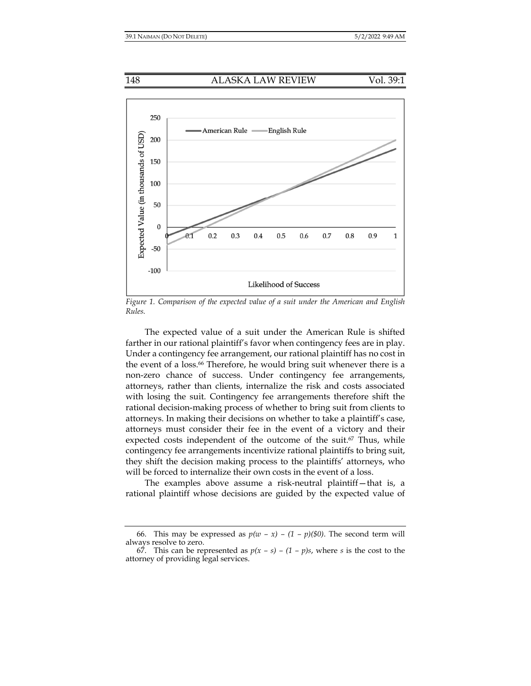

*Figure 1. Comparison of the expected value of a suit under the American and English Rules.* 

The expected value of a suit under the American Rule is shifted farther in our rational plaintiff's favor when contingency fees are in play. Under a contingency fee arrangement, our rational plaintiff has no cost in the event of a loss.<sup>66</sup> Therefore, he would bring suit whenever there is a non-zero chance of success. Under contingency fee arrangements, attorneys, rather than clients, internalize the risk and costs associated with losing the suit. Contingency fee arrangements therefore shift the rational decision-making process of whether to bring suit from clients to attorneys. In making their decisions on whether to take a plaintiff's case, attorneys must consider their fee in the event of a victory and their expected costs independent of the outcome of the suit.<sup>67</sup> Thus, while contingency fee arrangements incentivize rational plaintiffs to bring suit, they shift the decision making process to the plaintiffs' attorneys, who will be forced to internalize their own costs in the event of a loss.

The examples above assume a risk-neutral plaintiff—that is, a rational plaintiff whose decisions are guided by the expected value of

<sup>66.</sup> This may be expressed as  $p(w - x) - (1 - p)(\$0)$ . The second term will always resolve to zero.

<sup>67.</sup> This can be represented as  $p(x - s) - (1 - p)s$ , where *s* is the cost to the attorney of providing legal services.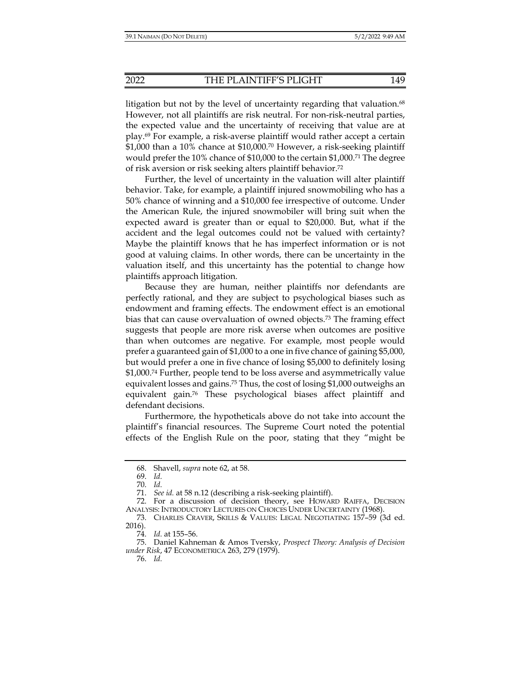litigation but not by the level of uncertainty regarding that valuation.<sup>68</sup>

However, not all plaintiffs are risk neutral. For non-risk-neutral parties, the expected value and the uncertainty of receiving that value are at play.69 For example, a risk-averse plaintiff would rather accept a certain \$1,000 than a 10% chance at \$10,000.70 However, a risk-seeking plaintiff would prefer the 10% chance of \$10,000 to the certain \$1,000.71 The degree of risk aversion or risk seeking alters plaintiff behavior.72

Further, the level of uncertainty in the valuation will alter plaintiff behavior. Take, for example, a plaintiff injured snowmobiling who has a 50% chance of winning and a \$10,000 fee irrespective of outcome. Under the American Rule, the injured snowmobiler will bring suit when the expected award is greater than or equal to \$20,000. But, what if the accident and the legal outcomes could not be valued with certainty? Maybe the plaintiff knows that he has imperfect information or is not good at valuing claims. In other words, there can be uncertainty in the valuation itself, and this uncertainty has the potential to change how plaintiffs approach litigation.

Because they are human, neither plaintiffs nor defendants are perfectly rational, and they are subject to psychological biases such as endowment and framing effects. The endowment effect is an emotional bias that can cause overvaluation of owned objects.73 The framing effect suggests that people are more risk averse when outcomes are positive than when outcomes are negative. For example, most people would prefer a guaranteed gain of \$1,000 to a one in five chance of gaining \$5,000, but would prefer a one in five chance of losing \$5,000 to definitely losing \$1,000.74 Further, people tend to be loss averse and asymmetrically value equivalent losses and gains.75 Thus, the cost of losing \$1,000 outweighs an equivalent gain.76 These psychological biases affect plaintiff and defendant decisions.

Furthermore, the hypotheticals above do not take into account the plaintiff's financial resources. The Supreme Court noted the potential effects of the English Rule on the poor, stating that they "might be

 <sup>68.</sup> Shavell, *supra* note 62, at 58.

 <sup>69.</sup> *Id.*

 <sup>70.</sup> *Id.*

 <sup>71.</sup> *See id.* at 58 n.12 (describing a risk-seeking plaintiff).

 <sup>72.</sup> For a discussion of decision theory, see HOWARD RAIFFA, DECISION ANALYSIS: INTRODUCTORY LECTURES ON CHOICES UNDER UNCERTAINTY (1968).

 <sup>73.</sup> CHARLES CRAVER, SKILLS & VALUES: LEGAL NEGOTIATING 157–59 (3d ed. 2016).

 <sup>74.</sup> *Id.* at 155–56.

 <sup>75.</sup> Daniel Kahneman & Amos Tversky, *Prospect Theory: Analysis of Decision under Risk*, 47 ECONOMETRICA 263, 279 (1979).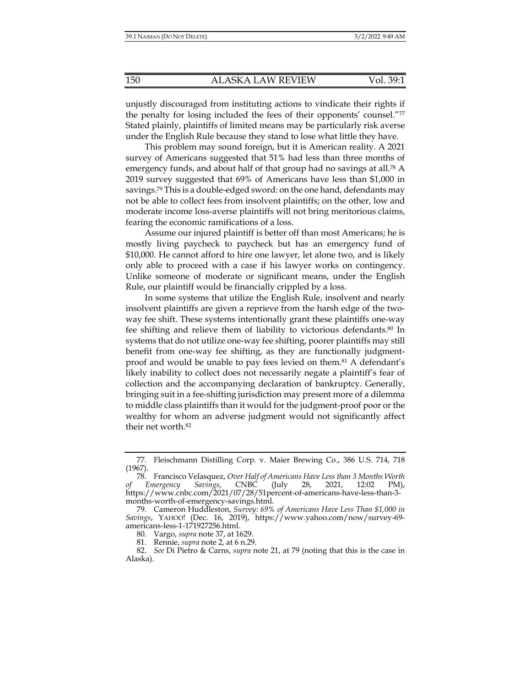unjustly discouraged from instituting actions to vindicate their rights if the penalty for losing included the fees of their opponents' counsel."77 Stated plainly, plaintiffs of limited means may be particularly risk averse under the English Rule because they stand to lose what little they have.

This problem may sound foreign, but it is American reality. A 2021 survey of Americans suggested that 51% had less than three months of emergency funds, and about half of that group had no savings at all.<sup>78</sup> A 2019 survey suggested that 69% of Americans have less than \$1,000 in savings.79 This is a double-edged sword: on the one hand, defendants may not be able to collect fees from insolvent plaintiffs; on the other, low and moderate income loss-averse plaintiffs will not bring meritorious claims, fearing the economic ramifications of a loss.

Assume our injured plaintiff is better off than most Americans; he is mostly living paycheck to paycheck but has an emergency fund of \$10,000. He cannot afford to hire one lawyer, let alone two, and is likely only able to proceed with a case if his lawyer works on contingency. Unlike someone of moderate or significant means, under the English Rule, our plaintiff would be financially crippled by a loss.

In some systems that utilize the English Rule, insolvent and nearly insolvent plaintiffs are given a reprieve from the harsh edge of the twoway fee shift. These systems intentionally grant these plaintiffs one-way fee shifting and relieve them of liability to victorious defendants.80 In systems that do not utilize one-way fee shifting, poorer plaintiffs may still benefit from one-way fee shifting, as they are functionally judgmentproof and would be unable to pay fees levied on them.81 A defendant's likely inability to collect does not necessarily negate a plaintiff's fear of collection and the accompanying declaration of bankruptcy. Generally, bringing suit in a fee-shifting jurisdiction may present more of a dilemma to middle class plaintiffs than it would for the judgment-proof poor or the wealthy for whom an adverse judgment would not significantly affect their net worth.82

 <sup>77.</sup> Fleischmann Distilling Corp. v. Maier Brewing Co., 386 U.S. 714, 718 (1967).

 <sup>78.</sup> Francisco Velasquez, *Over Half of Americans Have Less than 3 Months Worth of Emergency Savings*, CNBC (July 28, 2021, 12:02 PM), https://www.cnbc.com/2021/07/28/51percent-of-americans-have-less-than-3 months-worth-of-emergency-savings.html.

 <sup>79.</sup> Cameron Huddleston, *Survey: 69% of Americans Have Less Than \$1,000 in Savings*, YAHOO! (Dec. 16, 2019), https://www.yahoo.com/now/survey-69 americans-less-1-171927256.html.

 <sup>80.</sup> Vargo, *supra* note 37, at 1629.

 <sup>81.</sup> Rennie, *supra* note 2, at 6 n.29.

 <sup>82.</sup> *See* Di Pietro & Carns, *supra* note 21, at 79 (noting that this is the case in Alaska).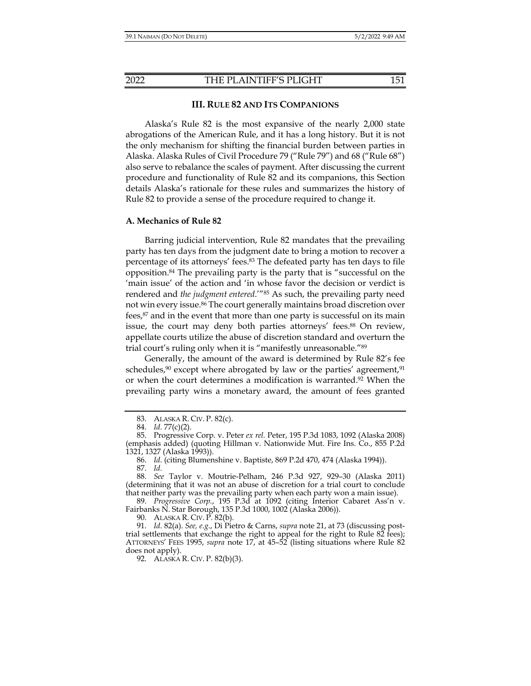#### **III. RULE 82 AND ITS COMPANIONS**

Alaska's Rule 82 is the most expansive of the nearly 2,000 state abrogations of the American Rule, and it has a long history. But it is not the only mechanism for shifting the financial burden between parties in Alaska. Alaska Rules of Civil Procedure 79 ("Rule 79") and 68 ("Rule 68") also serve to rebalance the scales of payment. After discussing the current procedure and functionality of Rule 82 and its companions, this Section details Alaska's rationale for these rules and summarizes the history of Rule 82 to provide a sense of the procedure required to change it.

#### **A. Mechanics of Rule 82**

Barring judicial intervention, Rule 82 mandates that the prevailing party has ten days from the judgment date to bring a motion to recover a percentage of its attorneys' fees.83 The defeated party has ten days to file opposition.84 The prevailing party is the party that is "successful on the 'main issue' of the action and 'in whose favor the decision or verdict is rendered and *the judgment entered*.'"85 As such, the prevailing party need not win every issue.86 The court generally maintains broad discretion over fees,<sup>87</sup> and in the event that more than one party is successful on its main issue, the court may deny both parties attorneys' fees.<sup>88</sup> On review, appellate courts utilize the abuse of discretion standard and overturn the trial court's ruling only when it is "manifestly unreasonable."89

Generally, the amount of the award is determined by Rule 82's fee schedules, $90$  except where abrogated by law or the parties' agreement, $91$ or when the court determines a modification is warranted.92 When the prevailing party wins a monetary award, the amount of fees granted

 89. *Progressive Corp.*, 195 P.3d at 1092 (citing Interior Cabaret Ass'n v. Fairbanks N. Star Borough, 135 P.3d 1000, 1002 (Alaska 2006)).

90. ALASKA R. CIV. P. 82(b).

 91. *Id.* 82(a). *See, e.g.*, Di Pietro & Carns, *supra* note 21, at 73 (discussing posttrial settlements that exchange the right to appeal for the right to Rule 82 fees); ATTORNEYS' FEES 1995, *supra* note 17, at 45–52 (listing situations where Rule 82 does not apply).

92. ALASKA R. CIV. P. 82(b)(3).

 <sup>83.</sup> ALASKA R. CIV. P. 82(c).

 <sup>84.</sup> *Id.* 77(c)(2).

 <sup>85.</sup> Progressive Corp. v. Peter *ex rel.* Peter, 195 P.3d 1083, 1092 (Alaska 2008) (emphasis added) (quoting Hillman v. Nationwide Mut. Fire Ins. Co., 855 P.2d 1321, 1327 (Alaska 1993)).

 <sup>86.</sup> *Id.* (citing Blumenshine v. Baptiste, 869 P.2d 470, 474 (Alaska 1994)). 87. *Id.*

 <sup>88.</sup> *See* Taylor v. Moutrie-Pelham, 246 P.3d 927, 929–30 (Alaska 2011) (determining that it was not an abuse of discretion for a trial court to conclude that neither party was the prevailing party when each party won a main issue).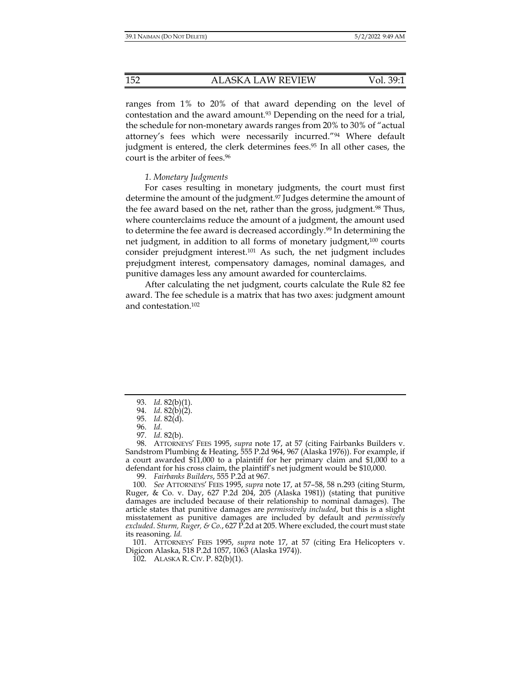ranges from 1% to 20% of that award depending on the level of contestation and the award amount.<sup>93</sup> Depending on the need for a trial, the schedule for non-monetary awards ranges from 20% to 30% of "actual attorney's fees which were necessarily incurred."94 Where default judgment is entered, the clerk determines fees.<sup>95</sup> In all other cases, the court is the arbiter of fees.<sup>96</sup>

#### *1. Monetary Judgments*

For cases resulting in monetary judgments, the court must first determine the amount of the judgment.97 Judges determine the amount of the fee award based on the net, rather than the gross, judgment.<sup>98</sup> Thus, where counterclaims reduce the amount of a judgment, the amount used to determine the fee award is decreased accordingly.99 In determining the net judgment, in addition to all forms of monetary judgment,<sup>100</sup> courts consider prejudgment interest.101 As such, the net judgment includes prejudgment interest, compensatory damages, nominal damages, and punitive damages less any amount awarded for counterclaims.

After calculating the net judgment, courts calculate the Rule 82 fee award. The fee schedule is a matrix that has two axes: judgment amount and contestation.102

 101. ATTORNEYS' FEES 1995, *supra* note 17, at 57 (citing Era Helicopters v. Digicon Alaska, 518 P.2d 1057, 1063 (Alaska 1974)).

102. ALASKA R. CIV. P. 82(b)(1).

 <sup>93.</sup> *Id.* 82(b)(1).

 <sup>94.</sup> *Id.* 82(b)(2).

 <sup>95.</sup> *Id.* 82(d).

 <sup>96.</sup> *Id.* 97. *Id.* 82(b).

 <sup>98.</sup> ATTORNEYS' FEES 1995, *supra* note 17, at 57 (citing Fairbanks Builders v. Sandstrom Plumbing & Heating, 555 P.2d 964, 967 (Alaska 1976)). For example, if a court awarded \$11,000 to a plaintiff for her primary claim and \$1,000 to a defendant for his cross claim, the plaintiff's net judgment would be \$10,000.

 <sup>99.</sup> *Fairbanks Builders*, 555 P.2d at 967.

 <sup>100.</sup> *See* ATTORNEYS' FEES 1995, *supra* note 17, at 57–58, 58 n.293 (citing Sturm, Ruger, & Co. v. Day, 627 P.2d 204, 205 (Alaska 1981)) (stating that punitive damages are included because of their relationship to nominal damages). The article states that punitive damages are *permissively included*, but this is a slight misstatement as punitive damages are included by default and *permissively excluded*. *Sturm, Ruger, & Co.*, 627 P.2d at 205. Where excluded, the court must state its reasoning. *Id.*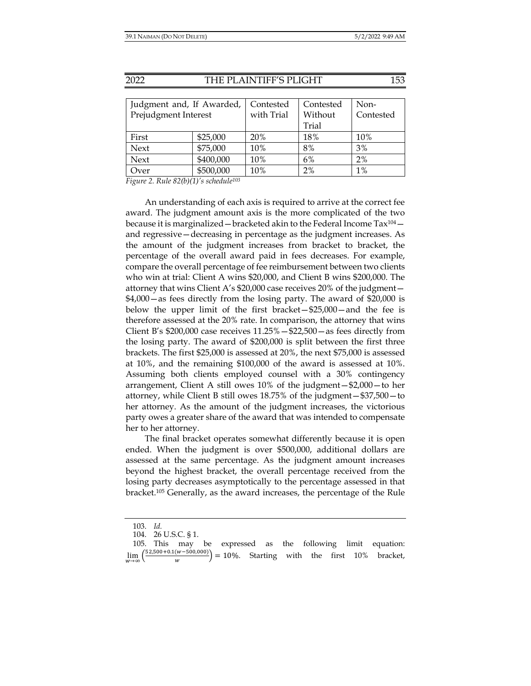| Judgment and, If Awarded, |           | Contested  | Contested | Non-      |
|---------------------------|-----------|------------|-----------|-----------|
| Prejudgment Interest      |           | with Trial | Without   | Contested |
|                           |           |            | Trial     |           |
| First                     | \$25,000  | 20%        | 18%       | 10%       |
| Next                      | \$75,000  | 10%        | 8%        | 3%        |
| Next                      | \$400,000 | 10%        | 6%        | 2%        |
| Over                      | \$500,000 | 10%        | 2%        | $1\%$     |

*Figure 2. Rule 82(b)(1)'s schedule103*

An understanding of each axis is required to arrive at the correct fee award. The judgment amount axis is the more complicated of the two because it is marginalized — bracketed akin to the Federal Income  $\text{Tax}^{104}$  and regressive—decreasing in percentage as the judgment increases. As the amount of the judgment increases from bracket to bracket, the percentage of the overall award paid in fees decreases. For example, compare the overall percentage of fee reimbursement between two clients who win at trial: Client A wins \$20,000, and Client B wins \$200,000. The attorney that wins Client A's \$20,000 case receives 20% of the judgment— \$4,000—as fees directly from the losing party. The award of \$20,000 is below the upper limit of the first bracket—\$25,000—and the fee is therefore assessed at the 20% rate. In comparison, the attorney that wins Client B's  $$200,000$  case receives  $11.25\% - $22,500 -$  as fees directly from the losing party. The award of \$200,000 is split between the first three brackets. The first \$25,000 is assessed at 20%, the next \$75,000 is assessed at 10%, and the remaining \$100,000 of the award is assessed at 10%. Assuming both clients employed counsel with a 30% contingency arrangement, Client A still owes 10% of the judgment—\$2,000—to her attorney, while Client B still owes 18.75% of the judgment—\$37,500—to her attorney. As the amount of the judgment increases, the victorious party owes a greater share of the award that was intended to compensate her to her attorney.

The final bracket operates somewhat differently because it is open ended. When the judgment is over \$500,000, additional dollars are assessed at the same percentage. As the judgment amount increases beyond the highest bracket, the overall percentage received from the losing party decreases asymptotically to the percentage assessed in that bracket.105 Generally, as the award increases, the percentage of the Rule

 <sup>103.</sup> *Id.* 

 <sup>104. 26</sup> U.S.C. § 1.

 <sup>105.</sup> This may be expressed as the following limit equation: lim  $\frac{52,500+0.1(w-500,000)}{w}$  = 10%. Starting with the first 10% bracket,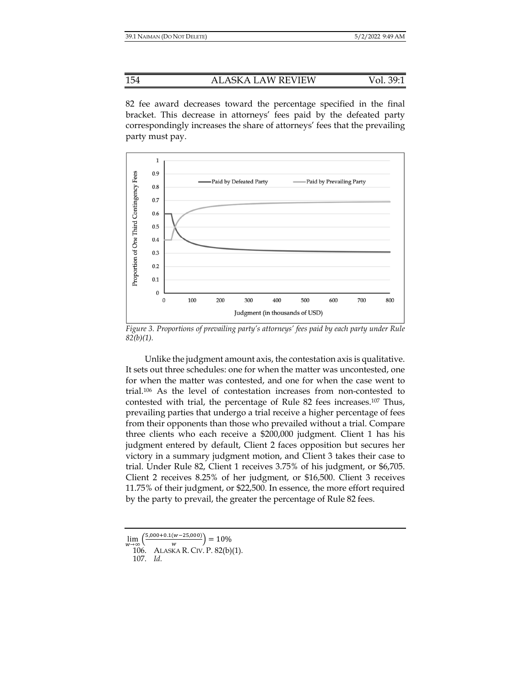82 fee award decreases toward the percentage specified in the final bracket. This decrease in attorneys' fees paid by the defeated party correspondingly increases the share of attorneys' fees that the prevailing party must pay.



*Figure 3. Proportions of prevailing party's attorneys' fees paid by each party under Rule 82(b)(1).* 

Unlike the judgment amount axis, the contestation axis is qualitative. It sets out three schedules: one for when the matter was uncontested, one for when the matter was contested, and one for when the case went to trial.106 As the level of contestation increases from non-contested to contested with trial, the percentage of Rule 82 fees increases.107 Thus, prevailing parties that undergo a trial receive a higher percentage of fees from their opponents than those who prevailed without a trial. Compare three clients who each receive a \$200,000 judgment. Client 1 has his judgment entered by default, Client 2 faces opposition but secures her victory in a summary judgment motion, and Client 3 takes their case to trial. Under Rule 82, Client 1 receives 3.75% of his judgment, or \$6,705. Client 2 receives 8.25% of her judgment, or \$16,500. Client 3 receives 11.75% of their judgment, or \$22,500. In essence, the more effort required by the party to prevail, the greater the percentage of Rule 82 fees.

lim  $(5,000+0.1(w-25,000))$  $\frac{w^{-(w-25,000)}}{w}$  = 10%

 <sup>106.</sup> ALASKA R. CIV. P. 82(b)(1).

 <sup>107.</sup> *Id.*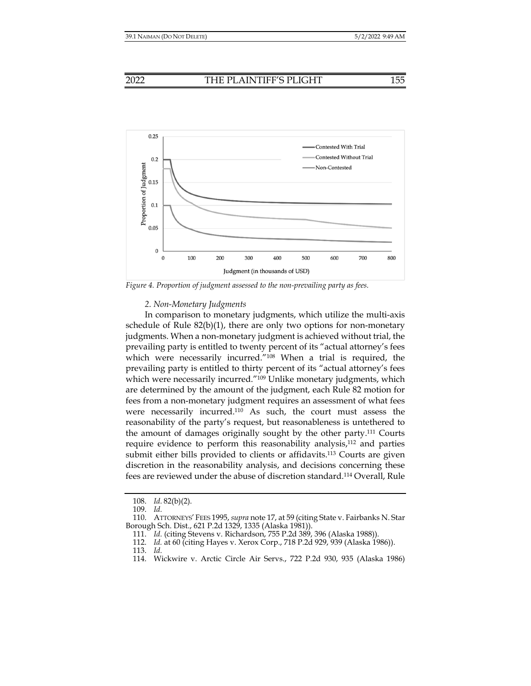



*Figure 4. Proportion of judgment assessed to the non-prevailing party as fees.* 

#### *2. Non-Monetary Judgments*

In comparison to monetary judgments, which utilize the multi-axis schedule of Rule  $82(b)(1)$ , there are only two options for non-monetary judgments. When a non-monetary judgment is achieved without trial, the prevailing party is entitled to twenty percent of its "actual attorney's fees which were necessarily incurred."108 When a trial is required, the prevailing party is entitled to thirty percent of its "actual attorney's fees which were necessarily incurred."<sup>109</sup> Unlike monetary judgments, which are determined by the amount of the judgment, each Rule 82 motion for fees from a non-monetary judgment requires an assessment of what fees were necessarily incurred.110 As such, the court must assess the reasonability of the party's request, but reasonableness is untethered to the amount of damages originally sought by the other party.111 Courts require evidence to perform this reasonability analysis,112 and parties submit either bills provided to clients or affidavits.113 Courts are given discretion in the reasonability analysis, and decisions concerning these fees are reviewed under the abuse of discretion standard.114 Overall, Rule

 <sup>108.</sup> *Id.* 82(b)(2).

 <sup>109.</sup> *Id.*

 <sup>110.</sup> ATTORNEYS' FEES 1995, *supra* note 17, at 59 (citing State v. Fairbanks N. Star Borough Sch. Dist., 621 P.2d 1329, 1335 (Alaska 1981)).

 <sup>111.</sup> *Id.* (citing Stevens v. Richardson, 755 P.2d 389, 396 (Alaska 1988)).

 <sup>112.</sup> *Id.* at 60 (citing Hayes v. Xerox Corp., 718 P.2d 929, 939 (Alaska 1986)).

 <sup>113.</sup> *Id.*

 <sup>114.</sup> Wickwire v. Arctic Circle Air Servs., 722 P.2d 930, 935 (Alaska 1986)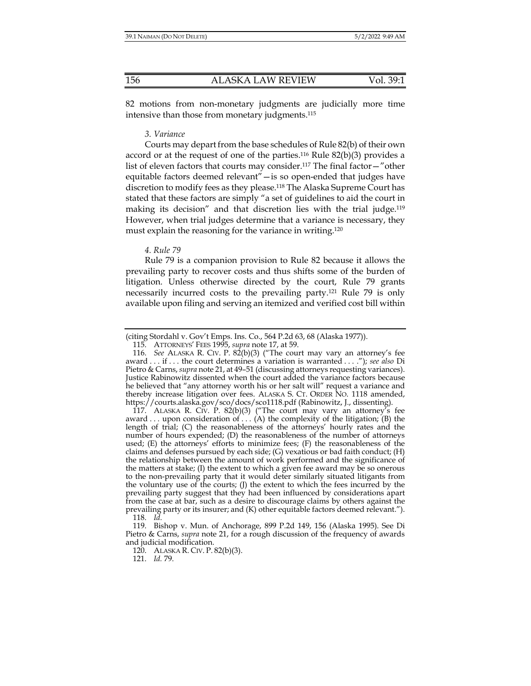82 motions from non-monetary judgments are judicially more time intensive than those from monetary judgments.115

#### *3. Variance*

Courts may depart from the base schedules of Rule 82(b) of their own accord or at the request of one of the parties.<sup>116</sup> Rule  $82(b)(3)$  provides a list of eleven factors that courts may consider.117 The final factor—"other equitable factors deemed relevant"—is so open-ended that judges have discretion to modify fees as they please.118 The Alaska Supreme Court has stated that these factors are simply "a set of guidelines to aid the court in making its decision" and that discretion lies with the trial judge.<sup>119</sup> However, when trial judges determine that a variance is necessary, they must explain the reasoning for the variance in writing.120

#### *4. Rule 79*

Rule 79 is a companion provision to Rule 82 because it allows the prevailing party to recover costs and thus shifts some of the burden of litigation. Unless otherwise directed by the court, Rule 79 grants necessarily incurred costs to the prevailing party.121 Rule 79 is only available upon filing and serving an itemized and verified cost bill within

 117. ALASKA R. CIV. P. 82(b)(3) ("The court may vary an attorney's fee award . . . upon consideration of . . . (A) the complexity of the litigation; (B) the length of trial; (C) the reasonableness of the attorneys' hourly rates and the number of hours expended; (D) the reasonableness of the number of attorneys used;  $(E)$  the attorneys' efforts to minimize fees;  $(F)$  the reasonableness of the claims and defenses pursued by each side; (G) vexatious or bad faith conduct; (H) the relationship between the amount of work performed and the significance of the matters at stake; (I) the extent to which a given fee award may be so onerous to the non-prevailing party that it would deter similarly situated litigants from the voluntary use of the courts; (J) the extent to which the fees incurred by the prevailing party suggest that they had been influenced by considerations apart from the case at bar, such as a desire to discourage claims by others against the prevailing party or its insurer; and (K) other equitable factors deemed relevant."). 118. *Id.*

 119. Bishop v. Mun. of Anchorage, 899 P.2d 149, 156 (Alaska 1995). See Di Pietro & Carns, *supra* note 21, for a rough discussion of the frequency of awards and judicial modification.

120. ALASKA R. CIV. P. 82(b)(3).

121. *Id.* 79.

<sup>(</sup>citing Stordahl v. Gov't Emps. Ins. Co., 564 P.2d 63, 68 (Alaska 1977)).

 <sup>115.</sup> ATTORNEYS' FEES 1995, *supra* note 17, at 59.

 <sup>116.</sup> *See* ALASKA R. CIV. P. 82(b)(3) ("The court may vary an attorney's fee award . . . if . . . the court determines a variation is warranted . . . ."); *see also* Di Pietro & Carns, *supra* note 21, at 49–51 (discussing attorneys requesting variances). Justice Rabinowitz dissented when the court added the variance factors because he believed that "any attorney worth his or her salt will" request a variance and thereby increase litigation over fees. ALASKA S. CT. ORDER NO. 1118 amended, https://courts.alaska.gov/sco/docs/sco1118.pdf (Rabinowitz, J., dissenting).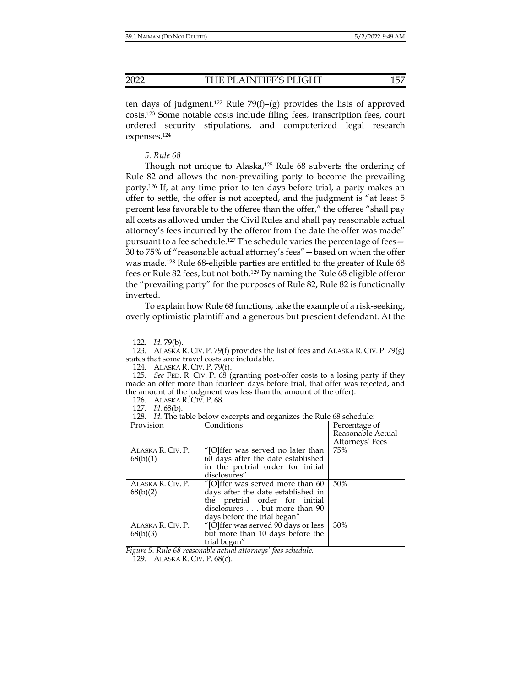ten days of judgment.<sup>122</sup> Rule 79(f)–(g) provides the lists of approved costs.123 Some notable costs include filing fees, transcription fees, court ordered security stipulations, and computerized legal research expenses.124

#### *5. Rule 68*

Though not unique to Alaska,125 Rule 68 subverts the ordering of Rule 82 and allows the non-prevailing party to become the prevailing party.126 If, at any time prior to ten days before trial, a party makes an offer to settle, the offer is not accepted, and the judgment is "at least 5 percent less favorable to the offeree than the offer," the offeree "shall pay all costs as allowed under the Civil Rules and shall pay reasonable actual attorney's fees incurred by the offeror from the date the offer was made" pursuant to a fee schedule.127 The schedule varies the percentage of fees— 30 to 75% of "reasonable actual attorney's fees"—based on when the offer was made.128 Rule 68-eligible parties are entitled to the greater of Rule 68 fees or Rule 82 fees, but not both.129 By naming the Rule 68 eligible offeror the "prevailing party" for the purposes of Rule 82, Rule 82 is functionally inverted.

To explain how Rule 68 functions, take the example of a risk-seeking, overly optimistic plaintiff and a generous but prescient defendant. At the

124. ALASKA R. CIV. P. 79(f).

126. ALASKA R. CIV. P. 68.

127. *Id.* 68(b).

 <sup>128.</sup> *Id.* The table below excerpts and organizes the Rule 68 schedule:

| Provision                     | Conditions                                                                                                                                                               | Percentage of<br>Reasonable Actual<br>Attorneys' Fees |
|-------------------------------|--------------------------------------------------------------------------------------------------------------------------------------------------------------------------|-------------------------------------------------------|
| ALASKA R. CIV. P.<br>68(b)(1) | "[O]ffer was served no later than<br>60 days after the date established<br>in the pretrial order for initial<br>disclosures"                                             | 75%                                                   |
| ALASKA R. CIV. P.<br>68(b)(2) | "[O]ffer was served more than 60<br>days after the date established in<br>the pretrial order for initial<br>disclosures but more than 90<br>days before the trial began" | 50%                                                   |
| ALASKA R. CIV. P.<br>68(b)(3) | "[O]ffer was served 90 days or less<br>but more than 10 days before the<br>trial began"                                                                                  | 30%                                                   |

*Figure 5. Rule 68 reasonable actual attorneys' fees schedule.*

129. ALASKA R. CIV. P. 68(c).

 <sup>122.</sup> *Id.* 79(b).

 <sup>123.</sup> ALASKA R. CIV. P. 79(f) provides the list of fees and ALASKA R. CIV. P. 79(g) states that some travel costs are includable.

 <sup>125.</sup> *See* FED. R. CIV. P. 68 (granting post-offer costs to a losing party if they made an offer more than fourteen days before trial, that offer was rejected, and the amount of the judgment was less than the amount of the offer).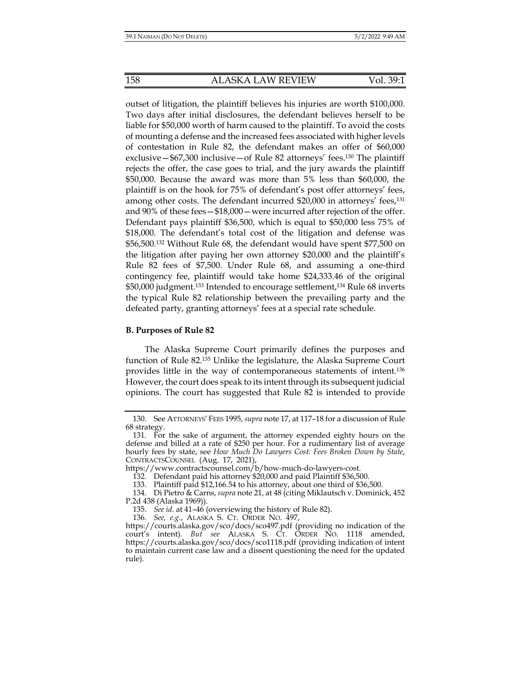outset of litigation, the plaintiff believes his injuries are worth \$100,000. Two days after initial disclosures, the defendant believes herself to be liable for \$50,000 worth of harm caused to the plaintiff. To avoid the costs of mounting a defense and the increased fees associated with higher levels of contestation in Rule 82, the defendant makes an offer of \$60,000 exclusive—\$67,300 inclusive—of Rule 82 attorneys' fees.130 The plaintiff rejects the offer, the case goes to trial, and the jury awards the plaintiff \$50,000. Because the award was more than 5% less than \$60,000, the plaintiff is on the hook for 75% of defendant's post offer attorneys' fees, among other costs. The defendant incurred \$20,000 in attorneys' fees,131 and 90% of these fees—\$18,000—were incurred after rejection of the offer. Defendant pays plaintiff \$36,500, which is equal to \$50,000 less 75% of \$18,000. The defendant's total cost of the litigation and defense was \$56,500.132 Without Rule 68, the defendant would have spent \$77,500 on the litigation after paying her own attorney \$20,000 and the plaintiff's Rule 82 fees of \$7,500. Under Rule 68, and assuming a one-third contingency fee, plaintiff would take home \$24,333.46 of the original \$50,000 judgment.133 Intended to encourage settlement,134 Rule 68 inverts the typical Rule 82 relationship between the prevailing party and the defeated party, granting attorneys' fees at a special rate schedule.

#### **B. Purposes of Rule 82**

The Alaska Supreme Court primarily defines the purposes and function of Rule 82.135 Unlike the legislature, the Alaska Supreme Court provides little in the way of contemporaneous statements of intent.136 However, the court does speak to its intent through its subsequent judicial opinions. The court has suggested that Rule 82 is intended to provide

 <sup>130.</sup> See ATTORNEYS' FEES 1995, *supra* note 17, at 117–18 for a discussion of Rule 68 strategy.

 <sup>131.</sup> For the sake of argument, the attorney expended eighty hours on the defense and billed at a rate of \$250 per hour. For a rudimentary list of average hourly fees by state, see *How Much Do Lawyers Cost: Fees Broken Down by State*, CONTRACTSCOUNSEL (Aug. 17, 2021),

https://www.contractscounsel.com/b/how-much-do-lawyers-cost.

 <sup>132.</sup> Defendant paid his attorney \$20,000 and paid Plaintiff \$36,500.

 <sup>133.</sup> Plaintiff paid \$12,166.54 to his attorney, about one third of \$36,500.

 <sup>134.</sup> Di Pietro & Carns, *supra* note 21, at 48 (citing Miklautsch v. Dominick, 452 P.2d 438 (Alaska 1969)).

 <sup>135.</sup> *See id.* at 41–46 (overviewing the history of Rule 82).

 <sup>136.</sup> *See, e.g.*, ALASKA S. CT. ORDER NO. 497,

https://courts.alaska.gov/sco/docs/sco497.pdf (providing no indication of the court's intent). *But see* ALASKA S. CT. ORDER NO. 1118 amended, https://courts.alaska.gov/sco/docs/sco1118.pdf (providing indication of intent to maintain current case law and a dissent questioning the need for the updated rule).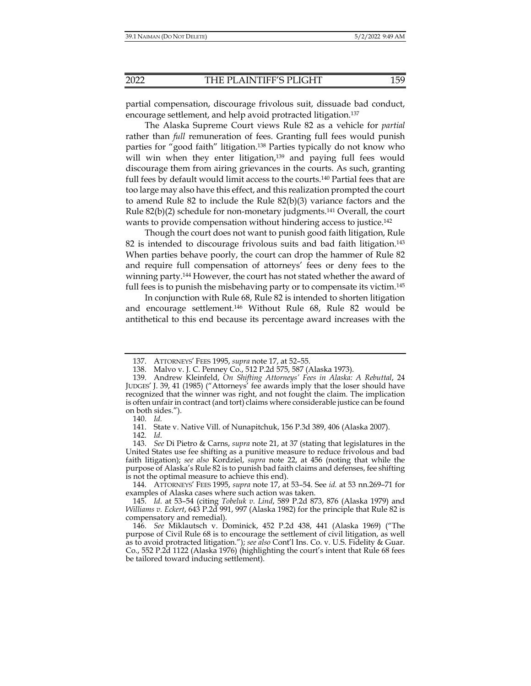partial compensation, discourage frivolous suit, dissuade bad conduct, encourage settlement, and help avoid protracted litigation.137

The Alaska Supreme Court views Rule 82 as a vehicle for *partial* rather than *full* remuneration of fees. Granting full fees would punish parties for "good faith" litigation.138 Parties typically do not know who will win when they enter litigation,<sup>139</sup> and paying full fees would discourage them from airing grievances in the courts. As such, granting full fees by default would limit access to the courts.140 Partial fees that are too large may also have this effect, and this realization prompted the court to amend Rule 82 to include the Rule 82(b)(3) variance factors and the Rule  $82(b)(2)$  schedule for non-monetary judgments.<sup>141</sup> Overall, the court wants to provide compensation without hindering access to justice.<sup>142</sup>

Though the court does not want to punish good faith litigation, Rule 82 is intended to discourage frivolous suits and bad faith litigation.<sup>143</sup> When parties behave poorly, the court can drop the hammer of Rule 82 and require full compensation of attorneys' fees or deny fees to the winning party.<sup>144</sup> However, the court has not stated whether the award of full fees is to punish the misbehaving party or to compensate its victim.<sup>145</sup>

In conjunction with Rule 68, Rule 82 is intended to shorten litigation and encourage settlement.146 Without Rule 68, Rule 82 would be antithetical to this end because its percentage award increases with the

 <sup>137.</sup> ATTORNEYS' FEES 1995, *supra* note 17, at 52–55.

 <sup>138.</sup> Malvo v. J. C. Penney Co., 512 P.2d 575, 587 (Alaska 1973).

 <sup>139.</sup> Andrew Kleinfeld, *On Shifting Attorneys' Fees in Alaska: A Rebuttal*, 24 JUDGES' J. 39, 41 (1985) ("Attorneys' fee awards imply that the loser should have recognized that the winner was right, and not fought the claim. The implication is often unfair in contract (and tort) claims where considerable justice can be found on both sides.").

 <sup>140.</sup> *Id.* 

 <sup>141.</sup> State v. Native Vill. of Nunapitchuk, 156 P.3d 389, 406 (Alaska 2007).

 <sup>142.</sup> *Id.*

 <sup>143.</sup> *See* Di Pietro & Carns, *supra* note 21, at 37 (stating that legislatures in the United States use fee shifting as a punitive measure to reduce frivolous and bad faith litigation); *see also* Kordziel, *supra* note 22, at 456 (noting that while the purpose of Alaska's Rule 82 is to punish bad faith claims and defenses, fee shifting is not the optimal measure to achieve this end).

 <sup>144.</sup> ATTORNEYS' FEES 1995, *supra* note 17, at 53–54. See *id.* at 53 nn.269–71 for examples of Alaska cases where such action was taken.

 <sup>145.</sup> *Id.* at 53–54 (citing *Tobeluk v. Lind*, 589 P.2d 873, 876 (Alaska 1979) and *Williams v. Eckert*, 643 P.2d 991, 997 (Alaska 1982) for the principle that Rule 82 is compensatory and remedial).

 <sup>146.</sup> *See* Miklautsch v. Dominick, 452 P.2d 438, 441 (Alaska 1969) ("The purpose of Civil Rule 68 is to encourage the settlement of civil litigation, as well as to avoid protracted litigation."); *see also* Cont'l Ins. Co. v. U.S. Fidelity & Guar. Co., 552 P.2d 1122 (Alaska 1976) (highlighting the court's intent that Rule 68 fees be tailored toward inducing settlement).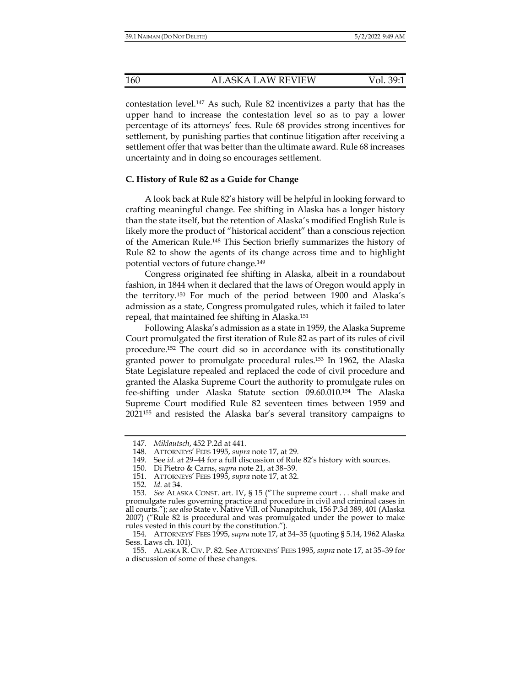contestation level.147 As such, Rule 82 incentivizes a party that has the upper hand to increase the contestation level so as to pay a lower percentage of its attorneys' fees. Rule 68 provides strong incentives for settlement, by punishing parties that continue litigation after receiving a settlement offer that was better than the ultimate award. Rule 68 increases uncertainty and in doing so encourages settlement.

## **C. History of Rule 82 as a Guide for Change**

A look back at Rule 82's history will be helpful in looking forward to crafting meaningful change. Fee shifting in Alaska has a longer history than the state itself, but the retention of Alaska's modified English Rule is likely more the product of "historical accident" than a conscious rejection of the American Rule.148 This Section briefly summarizes the history of Rule 82 to show the agents of its change across time and to highlight potential vectors of future change.149

Congress originated fee shifting in Alaska, albeit in a roundabout fashion, in 1844 when it declared that the laws of Oregon would apply in the territory.150 For much of the period between 1900 and Alaska's admission as a state, Congress promulgated rules, which it failed to later repeal, that maintained fee shifting in Alaska.151

Following Alaska's admission as a state in 1959, the Alaska Supreme Court promulgated the first iteration of Rule 82 as part of its rules of civil procedure.152 The court did so in accordance with its constitutionally granted power to promulgate procedural rules.153 In 1962, the Alaska State Legislature repealed and replaced the code of civil procedure and granted the Alaska Supreme Court the authority to promulgate rules on fee-shifting under Alaska Statute section 09.60.010.154 The Alaska Supreme Court modified Rule 82 seventeen times between 1959 and 2021155 and resisted the Alaska bar's several transitory campaigns to

 <sup>147.</sup> *Miklautsch*, 452 P.2d at 441.

 <sup>148.</sup> ATTORNEYS' FEES 1995, *supra* note 17, at 29.

 <sup>149.</sup> See *id.* at 29–44 for a full discussion of Rule 82's history with sources.

 <sup>150.</sup> Di Pietro & Carns, *supra* note 21, at 38–39.

 <sup>151.</sup> ATTORNEYS' FEES 1995, *supra* note 17, at 32.

 <sup>152.</sup> *Id.* at 34.

 <sup>153.</sup> *See* ALASKA CONST. art. IV, § 15 ("The supreme court . . . shall make and promulgate rules governing practice and procedure in civil and criminal cases in all courts."); *see also* State v. Native Vill. of Nunapitchuk, 156 P.3d 389, 401 (Alaska 2007) ("Rule 82 is procedural and was promulgated under the power to make rules vested in this court by the constitution.").

 <sup>154.</sup> ATTORNEYS' FEES 1995, *supra* note 17, at 34–35 (quoting § 5.14, 1962 Alaska Sess. Laws ch. 101).

 <sup>155.</sup> ALASKA R. CIV. P. 82. See ATTORNEYS' FEES 1995, *supra* note 17, at 35–39 for a discussion of some of these changes.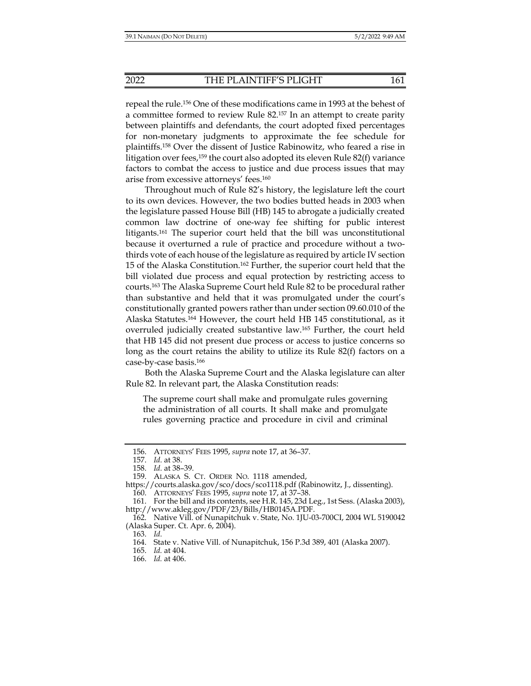repeal the rule.156 One of these modifications came in 1993 at the behest of a committee formed to review Rule 82.157 In an attempt to create parity between plaintiffs and defendants, the court adopted fixed percentages for non-monetary judgments to approximate the fee schedule for plaintiffs.158 Over the dissent of Justice Rabinowitz, who feared a rise in litigation over fees,<sup>159</sup> the court also adopted its eleven Rule 82(f) variance factors to combat the access to justice and due process issues that may arise from excessive attorneys' fees.160

Throughout much of Rule 82's history, the legislature left the court to its own devices. However, the two bodies butted heads in 2003 when the legislature passed House Bill (HB) 145 to abrogate a judicially created common law doctrine of one-way fee shifting for public interest litigants.161 The superior court held that the bill was unconstitutional because it overturned a rule of practice and procedure without a twothirds vote of each house of the legislature as required by article IV section 15 of the Alaska Constitution.<sup>162</sup> Further, the superior court held that the bill violated due process and equal protection by restricting access to courts.163 The Alaska Supreme Court held Rule 82 to be procedural rather than substantive and held that it was promulgated under the court's constitutionally granted powers rather than under section 09.60.010 of the Alaska Statutes.164 However, the court held HB 145 constitutional, as it overruled judicially created substantive law.165 Further, the court held that HB 145 did not present due process or access to justice concerns so long as the court retains the ability to utilize its Rule 82(f) factors on a case-by-case basis.166

Both the Alaska Supreme Court and the Alaska legislature can alter Rule 82. In relevant part, the Alaska Constitution reads:

The supreme court shall make and promulgate rules governing the administration of all courts. It shall make and promulgate rules governing practice and procedure in civil and criminal

 <sup>156.</sup> ATTORNEYS' FEES 1995, *supra* note 17, at 36–37.

 <sup>157.</sup> *Id.* at 38.

 <sup>158.</sup> *Id.* at 38–39.

 <sup>159.</sup> ALASKA S. CT. ORDER NO. 1118 amended,

https://courts.alaska.gov/sco/docs/sco1118.pdf (Rabinowitz, J., dissenting).

 <sup>160.</sup> ATTORNEYS' FEES 1995, *supra* note 17, at 37–38.

 <sup>161.</sup> For the bill and its contents, see H.R. 145, 23d Leg., 1st Sess. (Alaska 2003), http://www.akleg.gov/PDF/23/Bills/HB0145A.PDF.

 <sup>162.</sup> Native Vill. of Nunapitchuk v. State, No. 1JU-03-700CI, 2004 WL 5190042 (Alaska Super. Ct. Apr. 6, 2004).

 <sup>163.</sup> *Id.*

 <sup>164.</sup> State v. Native Vill. of Nunapitchuk, 156 P.3d 389, 401 (Alaska 2007).

 <sup>165.</sup> *Id.* at 404.

 <sup>166.</sup> *Id.* at 406.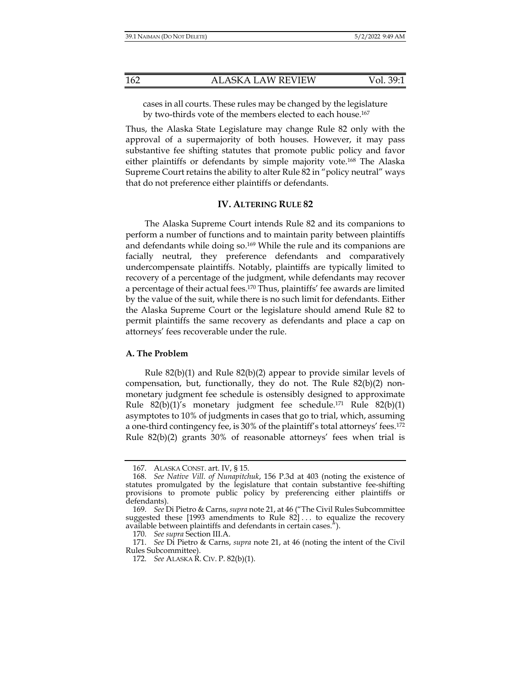cases in all courts. These rules may be changed by the legislature by two-thirds vote of the members elected to each house.<sup>167</sup>

Thus, the Alaska State Legislature may change Rule 82 only with the approval of a supermajority of both houses. However, it may pass substantive fee shifting statutes that promote public policy and favor either plaintiffs or defendants by simple majority vote.<sup>168</sup> The Alaska Supreme Court retains the ability to alter Rule 82 in "policy neutral" ways that do not preference either plaintiffs or defendants.

#### **IV. ALTERING RULE 82**

The Alaska Supreme Court intends Rule 82 and its companions to perform a number of functions and to maintain parity between plaintiffs and defendants while doing so.169 While the rule and its companions are facially neutral, they preference defendants and comparatively undercompensate plaintiffs. Notably, plaintiffs are typically limited to recovery of a percentage of the judgment, while defendants may recover a percentage of their actual fees.<sup>170</sup> Thus, plaintiffs' fee awards are limited by the value of the suit, while there is no such limit for defendants. Either the Alaska Supreme Court or the legislature should amend Rule 82 to permit plaintiffs the same recovery as defendants and place a cap on attorneys' fees recoverable under the rule.

#### **A. The Problem**

Rule 82(b)(1) and Rule 82(b)(2) appear to provide similar levels of compensation, but, functionally, they do not. The Rule 82(b)(2) nonmonetary judgment fee schedule is ostensibly designed to approximate Rule  $82(b)(1)$ 's monetary judgment fee schedule.<sup>171</sup> Rule  $82(b)(1)$ asymptotes to 10% of judgments in cases that go to trial, which, assuming a one-third contingency fee, is 30% of the plaintiff's total attorneys' fees.172 Rule 82(b)(2) grants 30% of reasonable attorneys' fees when trial is

 <sup>167.</sup> ALASKA CONST. art. IV, § 15.

 <sup>168.</sup> *See Native Vill. of Nunapitchuk*, 156 P.3d at 403 (noting the existence of statutes promulgated by the legislature that contain substantive fee-shifting provisions to promote public policy by preferencing either plaintiffs or defendants).

 <sup>169.</sup> *See* Di Pietro & Carns, *supra* note 21, at 46 ("The Civil Rules Subcommittee suggested these [1993 amendments to Rule 82] . . . to equalize the recovery available between plaintiffs and defendants in certain cases.").

 <sup>170.</sup> *See supra* Section III.A.

 <sup>171.</sup> *See* Di Pietro & Carns, *supra* note 21, at 46 (noting the intent of the Civil Rules Subcommittee).

 <sup>172.</sup> *See* ALASKA R. CIV. P. 82(b)(1).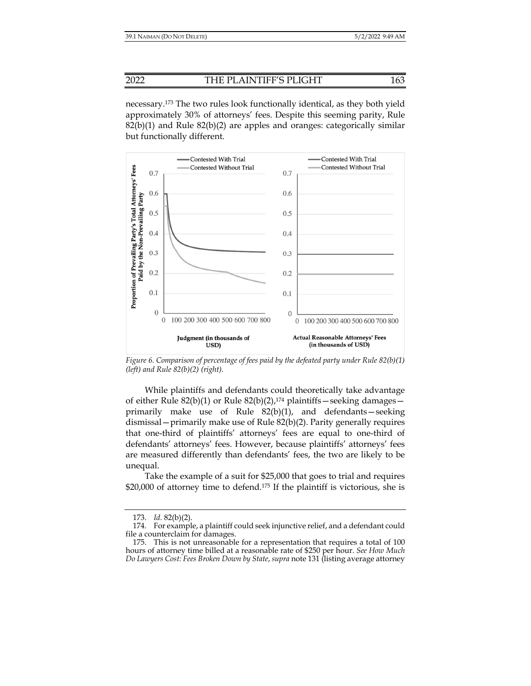necessary.173 The two rules look functionally identical, as they both yield approximately 30% of attorneys' fees. Despite this seeming parity, Rule  $82(b)(1)$  and Rule  $82(b)(2)$  are apples and oranges: categorically similar but functionally different.



*Figure 6. Comparison of percentage of fees paid by the defeated party under Rule 82(b)(1) (left) and Rule 82(b)(2) (right).* 

While plaintiffs and defendants could theoretically take advantage of either Rule 82(b)(1) or Rule 82(b)(2),<sup>174</sup> plaintiffs—seeking damages primarily make use of Rule 82(b)(1), and defendants—seeking dismissal—primarily make use of Rule 82(b)(2). Parity generally requires that one-third of plaintiffs' attorneys' fees are equal to one-third of defendants' attorneys' fees. However, because plaintiffs' attorneys' fees are measured differently than defendants' fees, the two are likely to be unequal.

Take the example of a suit for \$25,000 that goes to trial and requires \$20,000 of attorney time to defend.<sup>175</sup> If the plaintiff is victorious, she is

 <sup>173.</sup> *Id.* 82(b)(2).

 <sup>174.</sup> For example, a plaintiff could seek injunctive relief, and a defendant could file a counterclaim for damages.

 <sup>175.</sup> This is not unreasonable for a representation that requires a total of 100 hours of attorney time billed at a reasonable rate of \$250 per hour. *See How Much Do Lawyers Cost: Fees Broken Down by State*, *supra* note 131 (listing average attorney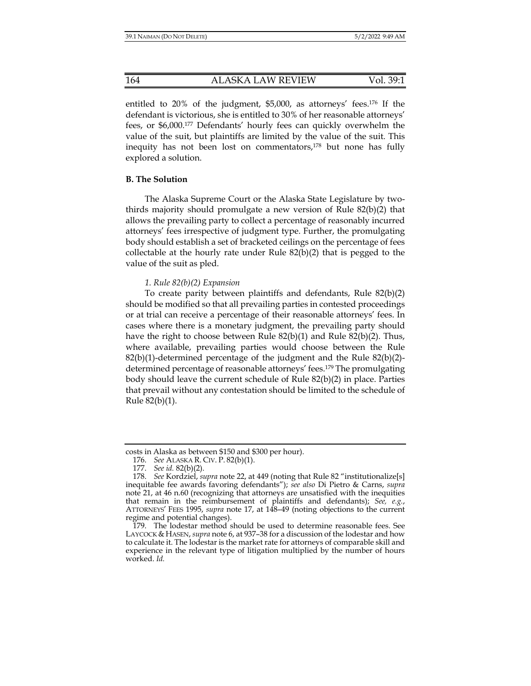entitled to 20% of the judgment, \$5,000, as attorneys' fees.176 If the defendant is victorious, she is entitled to 30% of her reasonable attorneys' fees, or \$6,000.177 Defendants' hourly fees can quickly overwhelm the value of the suit, but plaintiffs are limited by the value of the suit. This inequity has not been lost on commentators,<sup>178</sup> but none has fully explored a solution.

#### **B. The Solution**

The Alaska Supreme Court or the Alaska State Legislature by twothirds majority should promulgate a new version of Rule 82(b)(2) that allows the prevailing party to collect a percentage of reasonably incurred attorneys' fees irrespective of judgment type. Further, the promulgating body should establish a set of bracketed ceilings on the percentage of fees collectable at the hourly rate under Rule 82(b)(2) that is pegged to the value of the suit as pled.

#### *1. Rule 82(b)(2) Expansion*

To create parity between plaintiffs and defendants, Rule 82(b)(2) should be modified so that all prevailing parties in contested proceedings or at trial can receive a percentage of their reasonable attorneys' fees. In cases where there is a monetary judgment, the prevailing party should have the right to choose between Rule 82(b)(1) and Rule 82(b)(2). Thus, where available, prevailing parties would choose between the Rule 82(b)(1)-determined percentage of the judgment and the Rule 82(b)(2) determined percentage of reasonable attorneys' fees.179 The promulgating body should leave the current schedule of Rule 82(b)(2) in place. Parties that prevail without any contestation should be limited to the schedule of Rule 82(b)(1).

costs in Alaska as between \$150 and \$300 per hour).

 <sup>176.</sup> *See* ALASKA R. CIV. P. 82(b)(1).

 <sup>177.</sup> *See id.* 82(b)(2).

 <sup>178.</sup> *See* Kordziel, *supra* note 22, at 449 (noting that Rule 82 "institutionalize[s] inequitable fee awards favoring defendants"); *see also* Di Pietro & Carns, *supra* note 21, at 46 n.60 (recognizing that attorneys are unsatisfied with the inequities that remain in the reimbursement of plaintiffs and defendants); *See, e.g.*, ATTORNEYS' FEES 1995, *supra* note 17, at 148-49 (noting objections to the current regime and potential changes).

 <sup>179.</sup> The lodestar method should be used to determine reasonable fees. See LAYCOCK & HASEN, *supra* note 6, at 937–38 for a discussion of the lodestar and how to calculate it. The lodestar is the market rate for attorneys of comparable skill and experience in the relevant type of litigation multiplied by the number of hours worked. *Id.*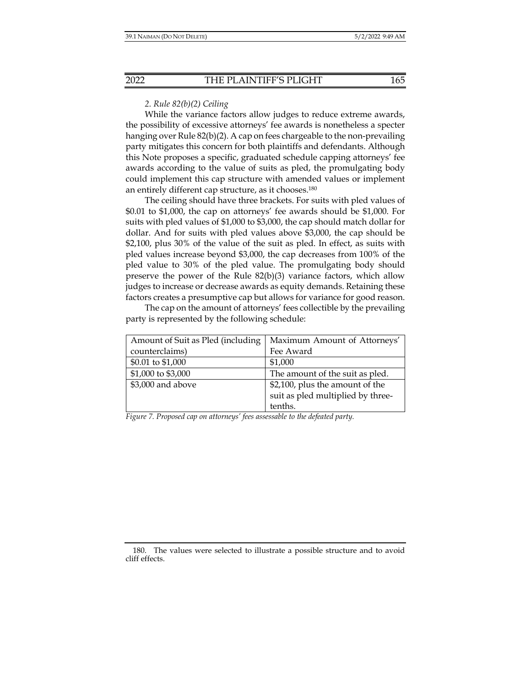## *2. Rule 82(b)(2) Ceiling*

While the variance factors allow judges to reduce extreme awards, the possibility of excessive attorneys' fee awards is nonetheless a specter hanging over Rule 82(b)(2). A cap on fees chargeable to the non-prevailing party mitigates this concern for both plaintiffs and defendants. Although this Note proposes a specific, graduated schedule capping attorneys' fee awards according to the value of suits as pled, the promulgating body could implement this cap structure with amended values or implement an entirely different cap structure, as it chooses.180

The ceiling should have three brackets. For suits with pled values of \$0.01 to \$1,000, the cap on attorneys' fee awards should be \$1,000. For suits with pled values of \$1,000 to \$3,000, the cap should match dollar for dollar. And for suits with pled values above \$3,000, the cap should be \$2,100, plus 30% of the value of the suit as pled. In effect, as suits with pled values increase beyond \$3,000, the cap decreases from 100% of the pled value to 30% of the pled value. The promulgating body should preserve the power of the Rule  $82(b)(3)$  variance factors, which allow judges to increase or decrease awards as equity demands. Retaining these factors creates a presumptive cap but allows for variance for good reason.

The cap on the amount of attorneys' fees collectible by the prevailing party is represented by the following schedule:

| Amount of Suit as Pled (including | Maximum Amount of Attorneys'      |  |
|-----------------------------------|-----------------------------------|--|
| counterclaims)                    | Fee Award                         |  |
| \$0.01 to \$1,000                 | \$1,000                           |  |
| \$1,000 to \$3,000                | The amount of the suit as pled.   |  |
| \$3,000 and above                 | \$2,100, plus the amount of the   |  |
|                                   | suit as pled multiplied by three- |  |
|                                   | tenths.                           |  |

*Figure 7. Proposed cap on attorneys' fees assessable to the defeated party.* 

 <sup>180.</sup> The values were selected to illustrate a possible structure and to avoid cliff effects.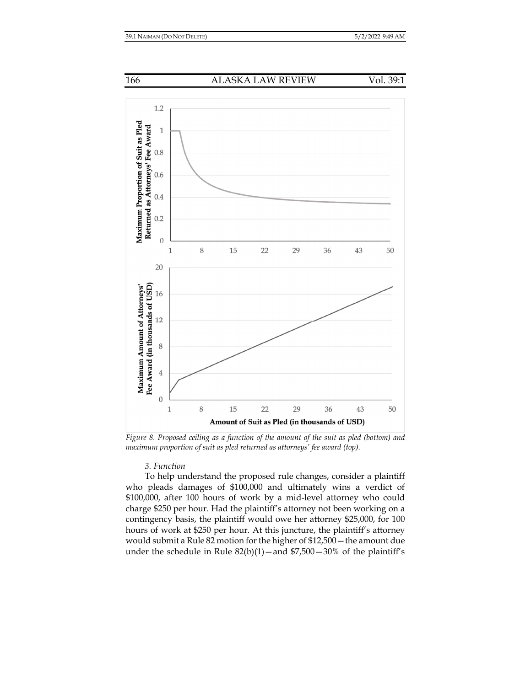



*Figure 8. Proposed ceiling as a function of the amount of the suit as pled (bottom) and maximum proportion of suit as pled returned as attorneys' fee award (top).* 

## *3. Function*

To help understand the proposed rule changes, consider a plaintiff who pleads damages of \$100,000 and ultimately wins a verdict of \$100,000, after 100 hours of work by a mid-level attorney who could charge \$250 per hour. Had the plaintiff's attorney not been working on a contingency basis, the plaintiff would owe her attorney \$25,000, for 100 hours of work at \$250 per hour. At this juncture, the plaintiff's attorney would submit a Rule 82 motion for the higher of \$12,500—the amount due under the schedule in Rule  $82(b)(1)$  – and  $$7,500 - 30\%$  of the plaintiff's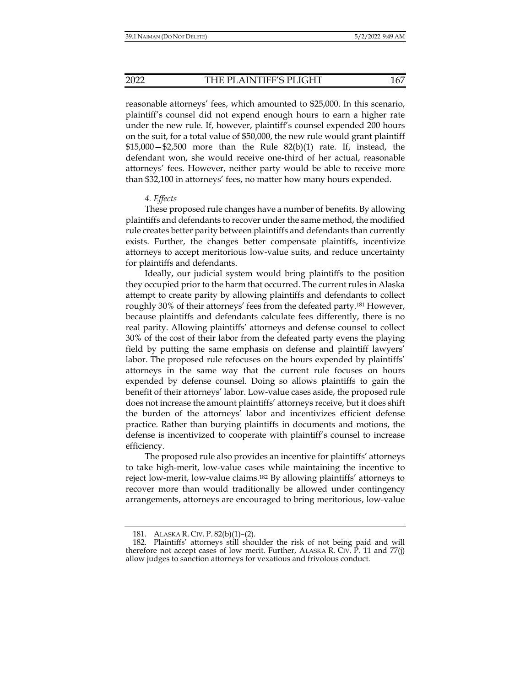reasonable attorneys' fees, which amounted to \$25,000. In this scenario, plaintiff's counsel did not expend enough hours to earn a higher rate under the new rule. If, however, plaintiff's counsel expended 200 hours on the suit, for a total value of \$50,000, the new rule would grant plaintiff  $$15,000 - $2,500$  more than the Rule  $82(b)(1)$  rate. If, instead, the defendant won, she would receive one-third of her actual, reasonable attorneys' fees. However, neither party would be able to receive more than \$32,100 in attorneys' fees, no matter how many hours expended.

## *4. Effects*

These proposed rule changes have a number of benefits. By allowing plaintiffs and defendants to recover under the same method, the modified rule creates better parity between plaintiffs and defendants than currently exists. Further, the changes better compensate plaintiffs, incentivize attorneys to accept meritorious low-value suits, and reduce uncertainty for plaintiffs and defendants.

Ideally, our judicial system would bring plaintiffs to the position they occupied prior to the harm that occurred. The current rules in Alaska attempt to create parity by allowing plaintiffs and defendants to collect roughly 30% of their attorneys' fees from the defeated party.181 However, because plaintiffs and defendants calculate fees differently, there is no real parity. Allowing plaintiffs' attorneys and defense counsel to collect 30% of the cost of their labor from the defeated party evens the playing field by putting the same emphasis on defense and plaintiff lawyers' labor. The proposed rule refocuses on the hours expended by plaintiffs' attorneys in the same way that the current rule focuses on hours expended by defense counsel. Doing so allows plaintiffs to gain the benefit of their attorneys' labor. Low-value cases aside, the proposed rule does not increase the amount plaintiffs' attorneys receive, but it does shift the burden of the attorneys' labor and incentivizes efficient defense practice. Rather than burying plaintiffs in documents and motions, the defense is incentivized to cooperate with plaintiff's counsel to increase efficiency.

The proposed rule also provides an incentive for plaintiffs' attorneys to take high-merit, low-value cases while maintaining the incentive to reject low-merit, low-value claims.182 By allowing plaintiffs' attorneys to recover more than would traditionally be allowed under contingency arrangements, attorneys are encouraged to bring meritorious, low-value

 <sup>181.</sup> ALASKA R. CIV. P. 82(b)(1)–(2).

 <sup>182.</sup> Plaintiffs' attorneys still shoulder the risk of not being paid and will therefore not accept cases of low merit. Further, ALASKA R. CIV.  $\overline{P}$ . 11 and 77(j) allow judges to sanction attorneys for vexatious and frivolous conduct.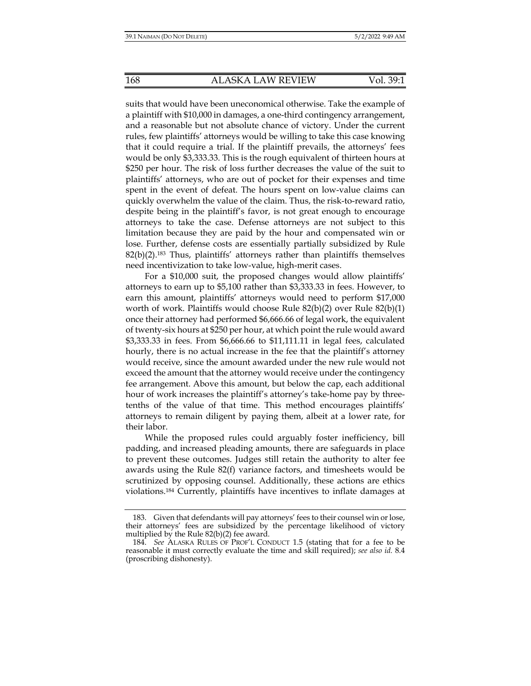suits that would have been uneconomical otherwise. Take the example of a plaintiff with \$10,000 in damages, a one-third contingency arrangement, and a reasonable but not absolute chance of victory. Under the current rules, few plaintiffs' attorneys would be willing to take this case knowing that it could require a trial. If the plaintiff prevails, the attorneys' fees would be only \$3,333.33. This is the rough equivalent of thirteen hours at \$250 per hour. The risk of loss further decreases the value of the suit to plaintiffs' attorneys, who are out of pocket for their expenses and time spent in the event of defeat. The hours spent on low-value claims can quickly overwhelm the value of the claim. Thus, the risk-to-reward ratio, despite being in the plaintiff's favor, is not great enough to encourage attorneys to take the case. Defense attorneys are not subject to this limitation because they are paid by the hour and compensated win or lose. Further, defense costs are essentially partially subsidized by Rule  $82(b)(2).$ <sup>183</sup> Thus, plaintiffs' attorneys rather than plaintiffs themselves need incentivization to take low-value, high-merit cases.

For a \$10,000 suit, the proposed changes would allow plaintiffs' attorneys to earn up to \$5,100 rather than \$3,333.33 in fees. However, to earn this amount, plaintiffs' attorneys would need to perform \$17,000 worth of work. Plaintiffs would choose Rule 82(b)(2) over Rule 82(b)(1) once their attorney had performed \$6,666.66 of legal work, the equivalent of twenty-six hours at \$250 per hour, at which point the rule would award \$3,333.33 in fees. From \$6,666.66 to \$11,111.11 in legal fees, calculated hourly, there is no actual increase in the fee that the plaintiff's attorney would receive, since the amount awarded under the new rule would not exceed the amount that the attorney would receive under the contingency fee arrangement. Above this amount, but below the cap, each additional hour of work increases the plaintiff's attorney's take-home pay by threetenths of the value of that time. This method encourages plaintiffs' attorneys to remain diligent by paying them, albeit at a lower rate, for their labor.

While the proposed rules could arguably foster inefficiency, bill padding, and increased pleading amounts, there are safeguards in place to prevent these outcomes. Judges still retain the authority to alter fee awards using the Rule 82(f) variance factors, and timesheets would be scrutinized by opposing counsel. Additionally, these actions are ethics violations.184 Currently, plaintiffs have incentives to inflate damages at

 <sup>183.</sup> Given that defendants will pay attorneys' fees to their counsel win or lose, their attorneys' fees are subsidized by the percentage likelihood of victory multiplied by the Rule 82(b)(2) fee award.

 <sup>184.</sup> *See* ALASKA RULES OF PROF'L CONDUCT 1.5 (stating that for a fee to be reasonable it must correctly evaluate the time and skill required); *see also id.* 8.4 (proscribing dishonesty).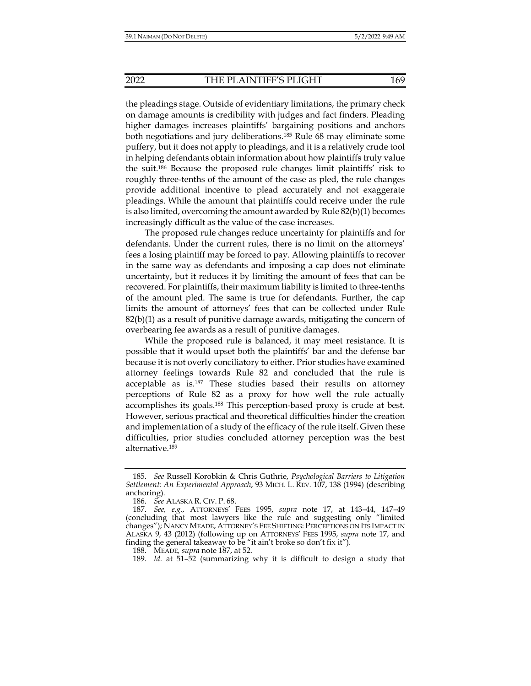the pleadings stage. Outside of evidentiary limitations, the primary check on damage amounts is credibility with judges and fact finders. Pleading higher damages increases plaintiffs' bargaining positions and anchors both negotiations and jury deliberations.185 Rule 68 may eliminate some puffery, but it does not apply to pleadings, and it is a relatively crude tool in helping defendants obtain information about how plaintiffs truly value the suit.186 Because the proposed rule changes limit plaintiffs' risk to roughly three-tenths of the amount of the case as pled, the rule changes provide additional incentive to plead accurately and not exaggerate pleadings. While the amount that plaintiffs could receive under the rule is also limited, overcoming the amount awarded by Rule  $82(b)(1)$  becomes increasingly difficult as the value of the case increases.

The proposed rule changes reduce uncertainty for plaintiffs and for defendants. Under the current rules, there is no limit on the attorneys' fees a losing plaintiff may be forced to pay. Allowing plaintiffs to recover in the same way as defendants and imposing a cap does not eliminate uncertainty, but it reduces it by limiting the amount of fees that can be recovered. For plaintiffs, their maximum liability is limited to three-tenths of the amount pled. The same is true for defendants. Further, the cap limits the amount of attorneys' fees that can be collected under Rule 82(b)(1) as a result of punitive damage awards, mitigating the concern of overbearing fee awards as a result of punitive damages.

While the proposed rule is balanced, it may meet resistance. It is possible that it would upset both the plaintiffs' bar and the defense bar because it is not overly conciliatory to either. Prior studies have examined attorney feelings towards Rule 82 and concluded that the rule is acceptable as is.187 These studies based their results on attorney perceptions of Rule 82 as a proxy for how well the rule actually accomplishes its goals.188 This perception-based proxy is crude at best. However, serious practical and theoretical difficulties hinder the creation and implementation of a study of the efficacy of the rule itself. Given these difficulties, prior studies concluded attorney perception was the best alternative.189

 <sup>185.</sup> *See* Russell Korobkin & Chris Guthrie, *Psychological Barriers to Litigation Settlement: An Experimental Approach*, 93 MICH. L. REV. 107, 138 (1994) (describing anchoring).

 <sup>186.</sup> *See* ALASKA R. CIV. P. 68.

 <sup>187.</sup> *See, e.g.*, ATTORNEYS' FEES 1995, *supra* note 17, at 143–44, 147–49 (concluding that most lawyers like the rule and suggesting only "limited changes"); NANCY MEADE, ATTORNEY'S FEE SHIFTING: PERCEPTIONS ON ITS IMPACT IN ALASKA 9, 43 (2012) (following up on ATTORNEYS' FEES 1995, *supra* note 17, and finding the general takeaway to be "it ain't broke so don't fix it").

 <sup>188.</sup> MEADE*, supra* note 187, at 52.

 <sup>189.</sup> *Id.* at 51–52 (summarizing why it is difficult to design a study that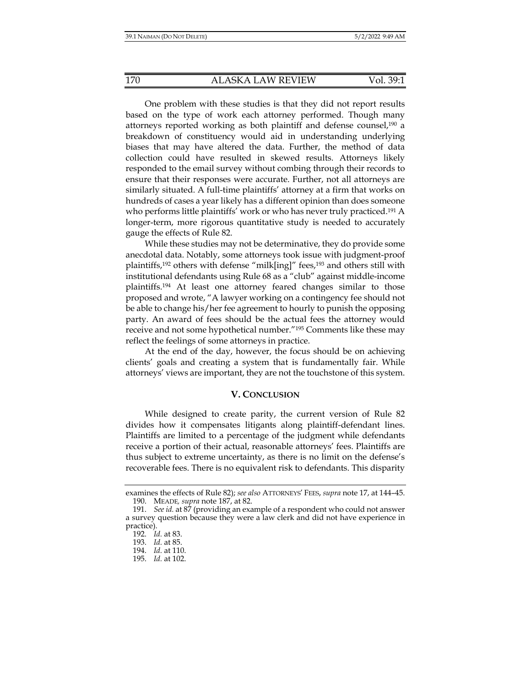One problem with these studies is that they did not report results based on the type of work each attorney performed. Though many attorneys reported working as both plaintiff and defense counsel,190 a breakdown of constituency would aid in understanding underlying biases that may have altered the data. Further, the method of data collection could have resulted in skewed results. Attorneys likely responded to the email survey without combing through their records to ensure that their responses were accurate. Further, not all attorneys are similarly situated. A full-time plaintiffs' attorney at a firm that works on hundreds of cases a year likely has a different opinion than does someone who performs little plaintiffs' work or who has never truly practiced.<sup>191</sup> A longer-term, more rigorous quantitative study is needed to accurately gauge the effects of Rule 82.

While these studies may not be determinative, they do provide some anecdotal data. Notably, some attorneys took issue with judgment-proof plaintiffs,<sup>192</sup> others with defense "milk[ing]" fees,<sup>193</sup> and others still with institutional defendants using Rule 68 as a "club" against middle-income plaintiffs.194 At least one attorney feared changes similar to those proposed and wrote, "A lawyer working on a contingency fee should not be able to change his/her fee agreement to hourly to punish the opposing party. An award of fees should be the actual fees the attorney would receive and not some hypothetical number."195 Comments like these may reflect the feelings of some attorneys in practice.

At the end of the day, however, the focus should be on achieving clients' goals and creating a system that is fundamentally fair. While attorneys' views are important, they are not the touchstone of this system.

#### **V. CONCLUSION**

While designed to create parity, the current version of Rule 82 divides how it compensates litigants along plaintiff-defendant lines. Plaintiffs are limited to a percentage of the judgment while defendants receive a portion of their actual, reasonable attorneys' fees. Plaintiffs are thus subject to extreme uncertainty, as there is no limit on the defense's recoverable fees. There is no equivalent risk to defendants. This disparity

examines the effects of Rule 82); *see also* ATTORNEYS' FEES, *supra* note 17, at 144–45. 190. MEADE*, supra* note 187, at 82.

<sup>191.</sup> *See id.* at 87 (providing an example of a respondent who could not answer a survey question because they were a law clerk and did not have experience in practice).

 <sup>192.</sup> *Id.* at 83.

 <sup>193.</sup> *Id.* at 85.

 <sup>194.</sup> *Id.* at 110.

 <sup>195.</sup> *Id.* at 102.